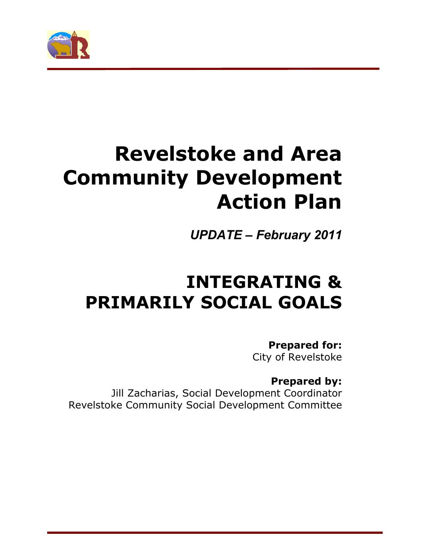

# **Revelstoke and Area Community Development Action Plan**

*UPDATE* **–** *February 2011*

# **INTEGRATING & PRIMARILY SOCIAL GOALS**

**Prepared for:**  City of Revelstoke

# **Prepared by:**

Jill Zacharias, Social Development Coordinator Revelstoke Community Social Development Committee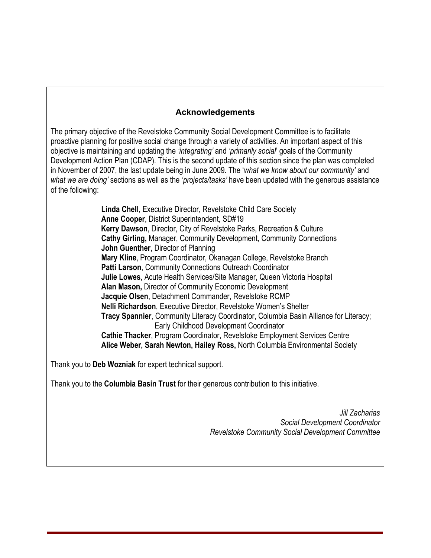#### **Acknowledgements**

The primary objective of the Revelstoke Community Social Development Committee is to facilitate proactive planning for positive social change through a variety of activities. An important aspect of this objective is maintaining and updating the *'integrating'* and *'primarily social*' goals of the Community Development Action Plan (CDAP). This is the second update of this section since the plan was completed in November of 2007, the last update being in June 2009. The '*what we know about our community'* and *what we are doing'* sections as well as the *'projects/tasks'* have been updated with the generous assistance of the following:

> **Linda Chell**, Executive Director, Revelstoke Child Care Society  **Anne Cooper**, District Superintendent, SD#19 **Kerry Dawson**, Director, City of Revelstoke Parks, Recreation & Culture **Cathy Girling,** Manager, Community Development, Community Connections **John Guenther**, Director of Planning  **Mary Kline**, Program Coordinator, Okanagan College, Revelstoke Branch  **Patti Larson**, Community Connections Outreach Coordinator  **Julie Lowes**, Acute Health Services/Site Manager, Queen Victoria Hospital **Alan Mason,** Director of Community Economic Development  **Jacquie Olsen**, Detachment Commander, Revelstoke RCMP **Nelli Richardson**, Executive Director, Revelstoke Women's Shelter  **Tracy Spannier**, Community Literacy Coordinator, Columbia Basin Alliance for Literacy; Early Childhood Development Coordinator  **Cathie Thacker**, Program Coordinator, Revelstoke Employment Services Centre **Alice Weber, Sarah Newton, Hailey Ross,** North Columbia Environmental Society

Thank you to **Deb Wozniak** for expert technical support.

Thank you to the **Columbia Basin Trust** for their generous contribution to this initiative.

*Jill Zacharias Social Development Coordinator Revelstoke Community Social Development Committee*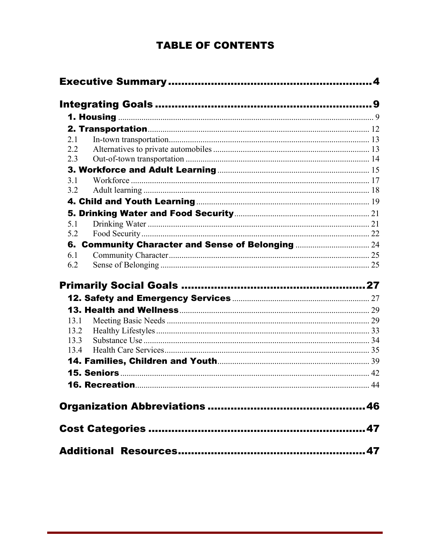# **TABLE OF CONTENTS**

| 2.1          |  |
|--------------|--|
| 2.2          |  |
| 2.3          |  |
|              |  |
| 3.1          |  |
| 3.2          |  |
|              |  |
|              |  |
| 5.1          |  |
| 5.2          |  |
|              |  |
| 6.1          |  |
| 6.2          |  |
|              |  |
|              |  |
|              |  |
|              |  |
|              |  |
|              |  |
| 13.1<br>13.2 |  |
| 13.3         |  |
| 13.4         |  |
|              |  |
|              |  |
|              |  |
|              |  |
|              |  |
|              |  |
|              |  |
|              |  |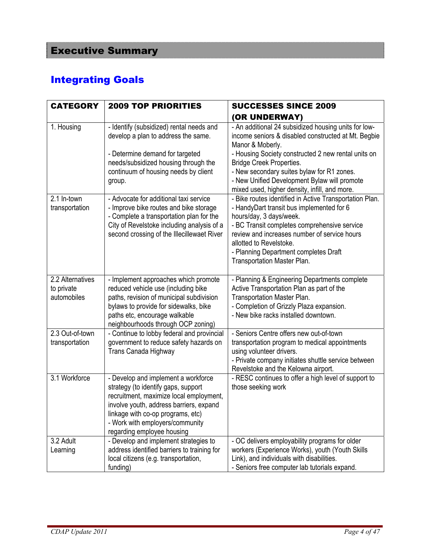# Integrating Goals

| <b>CATEGORY</b>                               | <b>2009 TOP PRIORITIES</b>                                                                                                                                                                                                                                             | <b>SUCCESSES SINCE 2009</b>                                                                                                                                                                                                                                                                                                                                              |
|-----------------------------------------------|------------------------------------------------------------------------------------------------------------------------------------------------------------------------------------------------------------------------------------------------------------------------|--------------------------------------------------------------------------------------------------------------------------------------------------------------------------------------------------------------------------------------------------------------------------------------------------------------------------------------------------------------------------|
|                                               |                                                                                                                                                                                                                                                                        | (OR UNDERWAY)                                                                                                                                                                                                                                                                                                                                                            |
| 1. Housing                                    | - Identify (subsidized) rental needs and<br>develop a plan to address the same.<br>- Determine demand for targeted<br>needs/subsidized housing through the<br>continuum of housing needs by client<br>group.                                                           | - An additional 24 subsidized housing units for low-<br>income seniors & disabled constructed at Mt. Begbie<br>Manor & Moberly.<br>- Housing Society constructed 2 new rental units on<br><b>Bridge Creek Properties.</b><br>- New secondary suites bylaw for R1 zones.<br>- New Unified Development Bylaw will promote<br>mixed used, higher density, infill, and more. |
| 2.1 In-town<br>transportation                 | - Advocate for additional taxi service<br>- Improve bike routes and bike storage<br>- Complete a transportation plan for the<br>City of Revelstoke including analysis of a<br>second crossing of the Illecillewaet River                                               | - Bike routes identified in Active Transportation Plan.<br>- HandyDart transit bus implemented for 6<br>hours/day, 3 days/week.<br>- BC Transit completes comprehensive service<br>review and increases number of service hours<br>allotted to Revelstoke.<br>- Planning Department completes Draft<br>Transportation Master Plan.                                       |
| 2.2 Alternatives<br>to private<br>automobiles | - Implement approaches which promote<br>reduced vehicle use (including bike<br>paths, revision of municipal subdivision<br>bylaws to provide for sidewalks, bike<br>paths etc, encourage walkable<br>neighbourhoods through OCP zoning)                                | - Planning & Engineering Departments complete<br>Active Transportation Plan as part of the<br>Transportation Master Plan.<br>- Completion of Grizzly Plaza expansion.<br>- New bike racks installed downtown.                                                                                                                                                            |
| 2.3 Out-of-town<br>transportation             | - Continue to lobby federal and provincial<br>government to reduce safety hazards on<br>Trans Canada Highway                                                                                                                                                           | - Seniors Centre offers new out-of-town<br>transportation program to medical appointments<br>using volunteer drivers.<br>- Private company initiates shuttle service between<br>Revelstoke and the Kelowna airport.                                                                                                                                                      |
| 3.1 Workforce                                 | - Develop and implement a workforce<br>strategy (to identify gaps, support<br>recruitment, maximize local employment,<br>involve youth, address barriers, expand<br>linkage with co-op programs, etc)<br>- Work with employers/community<br>regarding employee housing | - RESC continues to offer a high level of support to<br>those seeking work                                                                                                                                                                                                                                                                                               |
| 3.2 Adult<br>Learning                         | - Develop and implement strategies to<br>address identified barriers to training for<br>local citizens (e.g. transportation,<br>funding)                                                                                                                               | - OC delivers employability programs for older<br>workers (Experience Works), youth (Youth Skills<br>Link), and individuals with disabilities.<br>- Seniors free computer lab tutorials expand.                                                                                                                                                                          |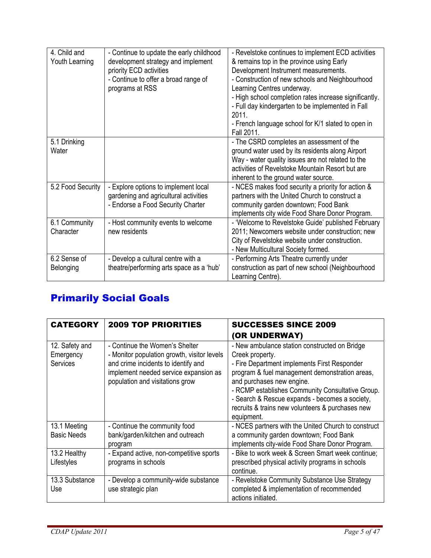| 4. Child and      | - Continue to update the early childhood                | - Revelstoke continues to implement ECD activities                                      |
|-------------------|---------------------------------------------------------|-----------------------------------------------------------------------------------------|
| Youth Learning    | development strategy and implement                      | & remains top in the province using Early                                               |
|                   | priority ECD activities                                 | Development Instrument measurements.<br>- Construction of new schools and Neighbourhood |
|                   | - Continue to offer a broad range of<br>programs at RSS | Learning Centres underway.                                                              |
|                   |                                                         |                                                                                         |
|                   |                                                         | - High school completion rates increase significantly.                                  |
|                   |                                                         | - Full day kindergarten to be implemented in Fall<br>2011.                              |
|                   |                                                         | - French language school for K/1 slated to open in                                      |
|                   |                                                         | Fall 2011.                                                                              |
| 5.1 Drinking      |                                                         | - The CSRD completes an assessment of the                                               |
| Water             |                                                         | ground water used by its residents along Airport                                        |
|                   |                                                         | Way - water quality issues are not related to the                                       |
|                   |                                                         | activities of Revelstoke Mountain Resort but are                                        |
|                   |                                                         | inherent to the ground water source.                                                    |
| 5.2 Food Security | - Explore options to implement local                    | - NCES makes food security a priority for action &                                      |
|                   | gardening and agricultural activities                   | partners with the United Church to construct a                                          |
|                   | - Endorse a Food Security Charter                       | community garden downtown; Food Bank                                                    |
|                   |                                                         | implements city wide Food Share Donor Program.                                          |
| 6.1 Community     | - Host community events to welcome                      | - 'Welcome to Revelstoke Guide' published February                                      |
| Character         | new residents                                           | 2011; Newcomers website under construction; new                                         |
|                   |                                                         | City of Revelstoke website under construction.                                          |
|                   |                                                         | - New Multicultural Society formed.                                                     |
| 6.2 Sense of      | - Develop a cultural centre with a                      | - Performing Arts Theatre currently under                                               |
| Belonging         | theatre/performing arts space as a 'hub'                | construction as part of new school (Neighbourhood                                       |
|                   |                                                         | Learning Centre).                                                                       |

# Primarily Social Goals

| <b>CATEGORY</b>                                | <b>2009 TOP PRIORITIES</b>                                                                                                                                                                       | <b>SUCCESSES SINCE 2009</b>                                                                                                                                                                                                                                                                                                                                             |
|------------------------------------------------|--------------------------------------------------------------------------------------------------------------------------------------------------------------------------------------------------|-------------------------------------------------------------------------------------------------------------------------------------------------------------------------------------------------------------------------------------------------------------------------------------------------------------------------------------------------------------------------|
|                                                |                                                                                                                                                                                                  | (OR UNDERWAY)                                                                                                                                                                                                                                                                                                                                                           |
| 12. Safety and<br>Emergency<br><b>Services</b> | - Continue the Women's Shelter<br>- Monitor population growth, visitor levels<br>and crime incidents to identify and<br>implement needed service expansion as<br>population and visitations grow | - New ambulance station constructed on Bridge<br>Creek property.<br>- Fire Department implements First Responder<br>program & fuel management demonstration areas,<br>and purchases new engine.<br>- RCMP establishes Community Consultative Group.<br>- Search & Rescue expands - becomes a society,<br>recruits & trains new volunteers & purchases new<br>equipment. |
| 13.1 Meeting                                   | - Continue the community food                                                                                                                                                                    | - NCES partners with the United Church to construct                                                                                                                                                                                                                                                                                                                     |
| <b>Basic Needs</b>                             | bank/garden/kitchen and outreach<br>program                                                                                                                                                      | a community garden downtown; Food Bank<br>implements city-wide Food Share Donor Program.                                                                                                                                                                                                                                                                                |
| 13.2 Healthy<br>Lifestyles                     | - Expand active, non-competitive sports<br>programs in schools                                                                                                                                   | - Bike to work week & Screen Smart week continue;<br>prescribed physical activity programs in schools<br>continue.                                                                                                                                                                                                                                                      |
| 13.3 Substance<br>Use                          | - Develop a community-wide substance<br>use strategic plan                                                                                                                                       | - Revelstoke Community Substance Use Strategy<br>completed & implementation of recommended<br>actions initiated.                                                                                                                                                                                                                                                        |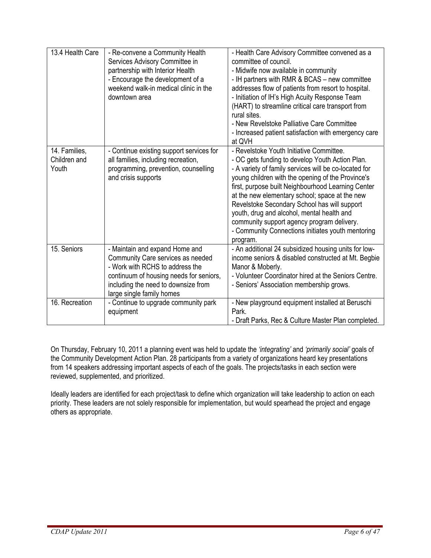| 13.4 Health Care                       | - Re-convene a Community Health<br>Services Advisory Committee in<br>partnership with Interior Health<br>- Encourage the development of a<br>weekend walk-in medical clinic in the<br>downtown area                   | - Health Care Advisory Committee convened as a<br>committee of council.<br>- Midwife now available in community<br>- IH partners with RMR & BCAS - new committee<br>addresses flow of patients from resort to hospital.<br>- Initiation of IH's High Acuity Response Team<br>(HART) to streamline critical care transport from<br>rural sites.<br>- New Revelstoke Palliative Care Committee<br>- Increased patient satisfaction with emergency care<br>at QVH                                                                 |
|----------------------------------------|-----------------------------------------------------------------------------------------------------------------------------------------------------------------------------------------------------------------------|--------------------------------------------------------------------------------------------------------------------------------------------------------------------------------------------------------------------------------------------------------------------------------------------------------------------------------------------------------------------------------------------------------------------------------------------------------------------------------------------------------------------------------|
| 14. Families,<br>Children and<br>Youth | - Continue existing support services for<br>all families, including recreation,<br>programming, prevention, counselling<br>and crisis supports                                                                        | - Revelstoke Youth Initiative Committee.<br>- OC gets funding to develop Youth Action Plan.<br>- A variety of family services will be co-located for<br>young children with the opening of the Province's<br>first, purpose built Neighbourhood Learning Center<br>at the new elementary school; space at the new<br>Revelstoke Secondary School has will support<br>youth, drug and alcohol, mental health and<br>community support agency program delivery.<br>- Community Connections initiates youth mentoring<br>program. |
| 15. Seniors                            | - Maintain and expand Home and<br>Community Care services as needed<br>- Work with RCHS to address the<br>continuum of housing needs for seniors,<br>including the need to downsize from<br>large single family homes | - An additional 24 subsidized housing units for low-<br>income seniors & disabled constructed at Mt. Begbie<br>Manor & Moberly.<br>- Volunteer Coordinator hired at the Seniors Centre.<br>- Seniors' Association membership grows.                                                                                                                                                                                                                                                                                            |
| 16. Recreation                         | - Continue to upgrade community park<br>equipment                                                                                                                                                                     | - New playground equipment installed at Beruschi<br>Park.<br>- Draft Parks, Rec & Culture Master Plan completed.                                                                                                                                                                                                                                                                                                                                                                                                               |

On Thursday, February 10, 2011 a planning event was held to update the *'integrating'* and *'primarily social'* goals of the Community Development Action Plan. 28 participants from a variety of organizations heard key presentations from 14 speakers addressing important aspects of each of the goals. The projects/tasks in each section were reviewed, supplemented, and prioritized.

Ideally leaders are identified for each project/task to define which organization will take leadership to action on each priority. These leaders are not solely responsible for implementation, but would spearhead the project and engage others as appropriate.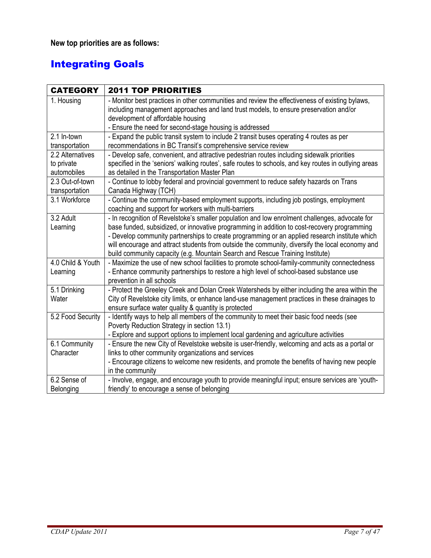**New top priorities are as follows:** 

# Integrating Goals

| <b>CATEGORY</b>                               | <b>2011 TOP PRIORITIES</b>                                                                                                                                                                                                                                                                                                                                                                                                                                                         |
|-----------------------------------------------|------------------------------------------------------------------------------------------------------------------------------------------------------------------------------------------------------------------------------------------------------------------------------------------------------------------------------------------------------------------------------------------------------------------------------------------------------------------------------------|
| 1. Housing                                    | - Monitor best practices in other communities and review the effectiveness of existing bylaws,<br>including management approaches and land trust models, to ensure preservation and/or<br>development of affordable housing<br>- Ensure the need for second-stage housing is addressed                                                                                                                                                                                             |
| 2.1 In-town<br>transportation                 | - Expand the public transit system to include 2 transit buses operating 4 routes as per<br>recommendations in BC Transit's comprehensive service review                                                                                                                                                                                                                                                                                                                            |
| 2.2 Alternatives<br>to private<br>automobiles | - Develop safe, convenient, and attractive pedestrian routes including sidewalk priorities<br>specified in the 'seniors' walking routes', safe routes to schools, and key routes in outlying areas<br>as detailed in the Transportation Master Plan                                                                                                                                                                                                                                |
| 2.3 Out-of-town<br>transportation             | - Continue to lobby federal and provincial government to reduce safety hazards on Trans<br>Canada Highway (TCH)                                                                                                                                                                                                                                                                                                                                                                    |
| 3.1 Workforce                                 | - Continue the community-based employment supports, including job postings, employment<br>coaching and support for workers with multi-barriers                                                                                                                                                                                                                                                                                                                                     |
| 3.2 Adult<br>Learning                         | - In recognition of Revelstoke's smaller population and low enrolment challenges, advocate for<br>base funded, subsidized, or innovative programming in addition to cost-recovery programming<br>- Develop community partnerships to create programming or an applied research institute which<br>will encourage and attract students from outside the community, diversify the local economy and<br>build community capacity (e.g. Mountain Search and Rescue Training Institute) |
| 4.0 Child & Youth<br>Learning                 | - Maximize the use of new school facilities to promote school-family-community connectedness<br>- Enhance community partnerships to restore a high level of school-based substance use<br>prevention in all schools                                                                                                                                                                                                                                                                |
| 5.1 Drinking<br>Water                         | - Protect the Greeley Creek and Dolan Creek Watersheds by either including the area within the<br>City of Revelstoke city limits, or enhance land-use management practices in these drainages to<br>ensure surface water quality & quantity is protected                                                                                                                                                                                                                           |
| 5.2 Food Security                             | - Identify ways to help all members of the community to meet their basic food needs (see<br>Poverty Reduction Strategy in section 13.1)<br>- Explore and support options to implement local gardening and agriculture activities                                                                                                                                                                                                                                                   |
| 6.1 Community<br>Character                    | - Ensure the new City of Revelstoke website is user-friendly, welcoming and acts as a portal or<br>links to other community organizations and services<br>- Encourage citizens to welcome new residents, and promote the benefits of having new people<br>in the community                                                                                                                                                                                                         |
| 6.2 Sense of<br>Belonging                     | - Involve, engage, and encourage youth to provide meaningful input; ensure services are 'youth-<br>friendly' to encourage a sense of belonging                                                                                                                                                                                                                                                                                                                                     |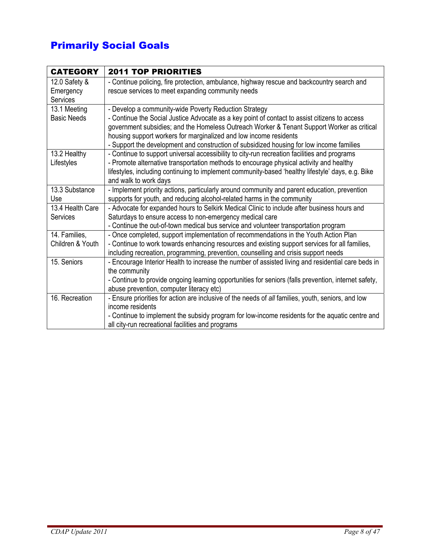# Primarily Social Goals

| <b>CATEGORY</b>    | <b>2011 TOP PRIORITIES</b>                                                                           |
|--------------------|------------------------------------------------------------------------------------------------------|
| 12.0 Safety &      | - Continue policing, fire protection, ambulance, highway rescue and backcountry search and           |
| Emergency          | rescue services to meet expanding community needs                                                    |
| Services           |                                                                                                      |
| 13.1 Meeting       | - Develop a community-wide Poverty Reduction Strategy                                                |
| <b>Basic Needs</b> | - Continue the Social Justice Advocate as a key point of contact to assist citizens to access        |
|                    | government subsidies; and the Homeless Outreach Worker & Tenant Support Worker as critical           |
|                    | housing support workers for marginalized and low income residents                                    |
|                    | - Support the development and construction of subsidized housing for low income families             |
| 13.2 Healthy       | - Continue to support universal accessibility to city-run recreation facilities and programs         |
| Lifestyles         | - Promote alternative transportation methods to encourage physical activity and healthy              |
|                    | lifestyles, including continuing to implement community-based 'healthy lifestyle' days, e.g. Bike    |
|                    | and walk to work days                                                                                |
| 13.3 Substance     | - Implement priority actions, particularly around community and parent education, prevention         |
| Use                | supports for youth, and reducing alcohol-related harms in the community                              |
| 13.4 Health Care   | - Advocate for expanded hours to Selkirk Medical Clinic to include after business hours and          |
| Services           | Saturdays to ensure access to non-emergency medical care                                             |
|                    | - Continue the out-of-town medical bus service and volunteer transportation program                  |
| 14. Families,      | - Once completed, support implementation of recommendations in the Youth Action Plan                 |
| Children & Youth   | - Continue to work towards enhancing resources and existing support services for all families,       |
|                    | including recreation, programming, prevention, counselling and crisis support needs                  |
| 15. Seniors        | - Encourage Interior Health to increase the number of assisted living and residential care beds in   |
|                    | the community                                                                                        |
|                    | - Continue to provide ongoing learning opportunities for seniors (falls prevention, internet safety, |
|                    | abuse prevention, computer literacy etc)                                                             |
| 16. Recreation     | - Ensure priorities for action are inclusive of the needs of all families, youth, seniors, and low   |
|                    | income residents                                                                                     |
|                    | - Continue to implement the subsidy program for low-income residents for the aquatic centre and      |
|                    | all city-run recreational facilities and programs                                                    |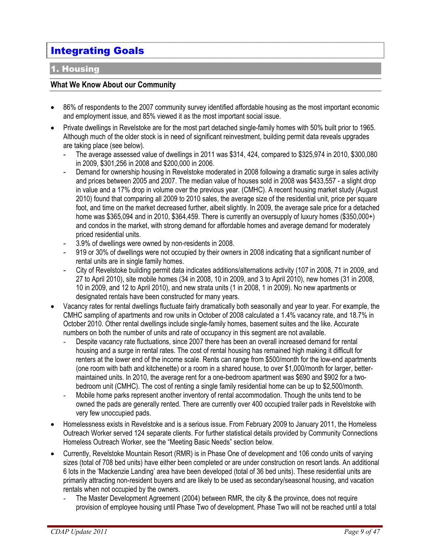# Integrating Goals

#### 1. Housing

#### **What We Know About our Community**

- 86% of respondents to the 2007 community survey identified affordable housing as the most important economic and employment issue, and 85% viewed it as the most important social issue.
- Private dwellings in Revelstoke are for the most part detached single-family homes with 50% built prior to 1965. Although much of the older stock is in need of significant reinvestment, building permit data reveals upgrades are taking place (see below).
	- The average assessed value of dwellings in 2011 was \$314, 424, compared to \$325,974 in 2010, \$300,080 in 2009, \$301,256 in 2008 and \$200,000 in 2006.
	- Demand for ownership housing in Revelstoke moderated in 2008 following a dramatic surge in sales activity and prices between 2005 and 2007. The median value of houses sold in 2008 was \$433,557 - a slight drop in value and a 17% drop in volume over the previous year. (CMHC). A recent housing market study (August 2010) found that comparing all 2009 to 2010 sales, the average size of the residential unit, price per square foot, and time on the market decreased further, albeit slightly. In 2009, the average sale price for a detached home was \$365,094 and in 2010, \$364,459. There is currently an oversupply of luxury homes (\$350,000+) and condos in the market, with strong demand for affordable homes and average demand for moderately priced residential units.
	- 3.9% of dwellings were owned by non-residents in 2008.
	- 919 or 30% of dwellings were not occupied by their owners in 2008 indicating that a significant number of rental units are in single family homes.
	- City of Revelstoke building permit data indicates additions/alternations activity (107 in 2008, 71 in 2009, and 27 to April 2010), site mobile homes (34 in 2008, 10 in 2009, and 3 to April 2010), new homes (31 in 2008, 10 in 2009, and 12 to April 2010), and new strata units (1 in 2008, 1 in 2009). No new apartments or designated rentals have been constructed for many years.
- Vacancy rates for rental dwellings fluctuate fairly dramatically both seasonally and year to year. For example, the CMHC sampling of apartments and row units in October of 2008 calculated a 1.4% vacancy rate, and 18.7% in October 2010. Other rental dwellings include single-family homes, basement suites and the like. Accurate numbers on both the number of units and rate of occupancy in this segment are not available.
	- Despite vacancy rate fluctuations, since 2007 there has been an overall increased demand for rental housing and a surge in rental rates. The cost of rental housing has remained high making it difficult for renters at the lower end of the income scale. Rents can range from \$500/month for the low-end apartments (one room with bath and kitchenette) or a room in a shared house, to over \$1,000/month for larger, bettermaintained units. In 2010, the average rent for a one-bedroom apartment was \$690 and \$902 for a twobedroom unit (CMHC). The cost of renting a single family residential home can be up to \$2,500/month.
	- Mobile home parks represent another inventory of rental accommodation. Though the units tend to be owned the pads are generally rented. There are currently over 400 occupied trailer pads in Revelstoke with very few unoccupied pads.
- Homelessness exists in Revelstoke and is a serious issue. From February 2009 to January 2011, the Homeless Outreach Worker served 124 separate clients. For further statistical details provided by Community Connections Homeless Outreach Worker, see the "Meeting Basic Needs" section below.
- Currently, Revelstoke Mountain Resort (RMR) is in Phase One of development and 106 condo units of varying sizes (total of 708 bed units) have either been completed or are under construction on resort lands. An additional 6 lots in the 'Mackenzie Landing' area have been developed (total of 36 bed units). These residential units are primarily attracting non-resident buyers and are likely to be used as secondary/seasonal housing, and vacation rentals when not occupied by the owners.
	- The Master Development Agreement (2004) between RMR, the city & the province, does not require provision of employee housing until Phase Two of development. Phase Two will not be reached until a total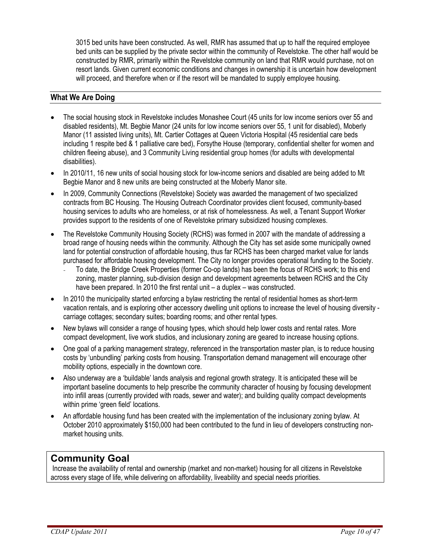3015 bed units have been constructed. As well, RMR has assumed that up to half the required employee bed units can be supplied by the private sector within the community of Revelstoke. The other half would be constructed by RMR, primarily within the Revelstoke community on land that RMR would purchase, not on resort lands. Given current economic conditions and changes in ownership it is uncertain how development will proceed, and therefore when or if the resort will be mandated to supply employee housing.

#### **What We Are Doing**

- The social housing stock in Revelstoke includes Monashee Court (45 units for low income seniors over 55 and disabled residents), Mt. Begbie Manor (24 units for low income seniors over 55, 1 unit for disabled), Moberly Manor (11 assisted living units), Mt. Cartier Cottages at Queen Victoria Hospital (45 residential care beds including 1 respite bed & 1 palliative care bed), Forsythe House (temporary, confidential shelter for women and children fleeing abuse), and 3 Community Living residential group homes (for adults with developmental disabilities).
- In 2010/11, 16 new units of social housing stock for low-income seniors and disabled are being added to Mt Begbie Manor and 8 new units are being constructed at the Moberly Manor site.
- In 2009, Community Connections (Revelstoke) Society was awarded the management of two specialized contracts from BC Housing. The Housing Outreach Coordinator provides client focused, community-based housing services to adults who are homeless, or at risk of homelessness. As well, a Tenant Support Worker provides support to the residents of one of Revelstoke primary subsidized housing complexes.
- The Revelstoke Community Housing Society (RCHS) was formed in 2007 with the mandate of addressing a broad range of housing needs within the community. Although the City has set aside some municipally owned land for potential construction of affordable housing, thus far RCHS has been charged market value for lands purchased for affordable housing development. The City no longer provides operational funding to the Society.
	- To date, the Bridge Creek Properties (former Co-op lands) has been the focus of RCHS work; to this end zoning, master planning, sub-division design and development agreements between RCHS and the City have been prepared. In 2010 the first rental unit – a duplex – was constructed.
- In 2010 the municipality started enforcing a bylaw restricting the rental of residential homes as short-term vacation rentals, and is exploring other accessory dwelling unit options to increase the level of housing diversity carriage cottages; secondary suites; boarding rooms; and other rental types.
- New bylaws will consider a range of housing types, which should help lower costs and rental rates. More compact development, live work studios, and inclusionary zoning are geared to increase housing options.
- One goal of a parking management strategy, referenced in the transportation master plan, is to reduce housing costs by 'unbundling' parking costs from housing. Transportation demand management will encourage other mobility options, especially in the downtown core.
- Also underway are a 'buildable' lands analysis and regional growth strategy. It is anticipated these will be important baseline documents to help prescribe the community character of housing by focusing development into infill areas (currently provided with roads, sewer and water); and building quality compact developments within prime 'green field' locations.
- An affordable housing fund has been created with the implementation of the inclusionary zoning bylaw. At October 2010 approximately \$150,000 had been contributed to the fund in lieu of developers constructing nonmarket housing units.

## **Community Goal**

Increase the availability of rental and ownership (market and non-market) housing for all citizens in Revelstoke across every stage of life, while delivering on affordability, liveability and special needs priorities.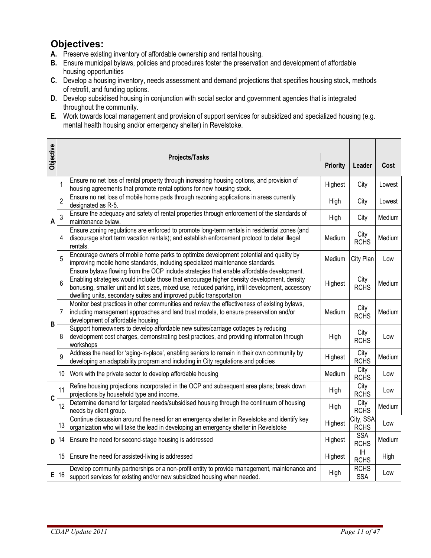## **Objectives:**

- **A.** Preserve existing inventory of affordable ownership and rental housing.
- **B.** Ensure municipal bylaws, policies and procedures foster the preservation and development of affordable housing opportunities
- **C.** Develop a housing inventory, needs assessment and demand projections that specifies housing stock, methods of retrofit, and funding options.
- **D.** Develop subsidised housing in conjunction with social sector and government agencies that is integrated throughout the community.
- **E.** Work towards local management and provision of support services for subsidized and specialized housing (e.g. mental health housing and/or emergency shelter) in Revelstoke.

| <b>Objective</b> |                | <b>Projects/Tasks</b>                                                                                                                                                                                                                                                                                                                                             | <b>Priority</b> | Leader                    | Cost   |
|------------------|----------------|-------------------------------------------------------------------------------------------------------------------------------------------------------------------------------------------------------------------------------------------------------------------------------------------------------------------------------------------------------------------|-----------------|---------------------------|--------|
|                  | 1              | Ensure no net loss of rental property through increasing housing options, and provision of<br>housing agreements that promote rental options for new housing stock.                                                                                                                                                                                               | Highest         | City                      | Lowest |
|                  | $\overline{2}$ | Ensure no net loss of mobile home pads through rezoning applications in areas currently<br>designated as R-5.                                                                                                                                                                                                                                                     | High            | City                      | Lowest |
| A                | 3              | Ensure the adequacy and safety of rental properties through enforcement of the standards of<br>maintenance bylaw.                                                                                                                                                                                                                                                 | High            | City                      | Medium |
|                  | 4              | Ensure zoning regulations are enforced to promote long-term rentals in residential zones (and<br>discourage short term vacation rentals); and establish enforcement protocol to deter illegal<br>rentals.                                                                                                                                                         | Medium          | City<br><b>RCHS</b>       | Medium |
|                  | 5              | Encourage owners of mobile home parks to optimize development potential and quality by<br>improving mobile home standards, including specialized maintenance standards.                                                                                                                                                                                           | Medium          | City Plan                 | Low    |
|                  | 6              | Ensure bylaws flowing from the OCP include strategies that enable affordable development.<br>Enabling strategies would include those that encourage higher density development, density<br>bonusing, smaller unit and lot sizes, mixed use, reduced parking, infill development, accessory<br>dwelling units, secondary suites and improved public transportation | Highest         | City<br><b>RCHS</b>       | Medium |
| B                | $\overline{7}$ | Monitor best practices in other communities and review the effectiveness of existing bylaws,<br>including management approaches and land trust models, to ensure preservation and/or<br>development of affordable housing                                                                                                                                         | Medium          | City<br><b>RCHS</b>       | Medium |
|                  | 8              | Support homeowners to develop affordable new suites/carriage cottages by reducing<br>development cost charges, demonstrating best practices, and providing information through<br>workshops                                                                                                                                                                       | High            | City<br><b>RCHS</b>       | Low    |
|                  | 9              | Address the need for 'aging-in-place', enabling seniors to remain in their own community by<br>developing an adaptability program and including in City regulations and policies                                                                                                                                                                                  | Highest         | City<br><b>RCHS</b>       | Medium |
|                  | 10             | Work with the private sector to develop affordable housing                                                                                                                                                                                                                                                                                                        | Medium          | City<br><b>RCHS</b>       | Low    |
| C                | 11             | Refine housing projections incorporated in the OCP and subsequent area plans; break down<br>projections by household type and income.                                                                                                                                                                                                                             | High            | City<br><b>RCHS</b>       | Low    |
|                  | 12             | Determine demand for targeted needs/subsidised housing through the continuum of housing<br>needs by client group.                                                                                                                                                                                                                                                 | High            | City<br><b>RCHS</b>       | Medium |
|                  | 13             | Continue discussion around the need for an emergency shelter in Revelstoke and identify key<br>organization who will take the lead in developing an emergency shelter in Revelstoke                                                                                                                                                                               | Highest         | City, SSA<br><b>RCHS</b>  | Low    |
| D                | 14             | Ensure the need for second-stage housing is addressed                                                                                                                                                                                                                                                                                                             | Highest         | <b>SSA</b><br><b>RCHS</b> | Medium |
|                  | 15             | Ensure the need for assisted-living is addressed                                                                                                                                                                                                                                                                                                                  | Highest         | IH<br><b>RCHS</b>         | High   |
| Е                | 16             | Develop community partnerships or a non-profit entity to provide management, maintenance and<br>support services for existing and/or new subsidized housing when needed.                                                                                                                                                                                          | High            | <b>RCHS</b><br><b>SSA</b> | Low    |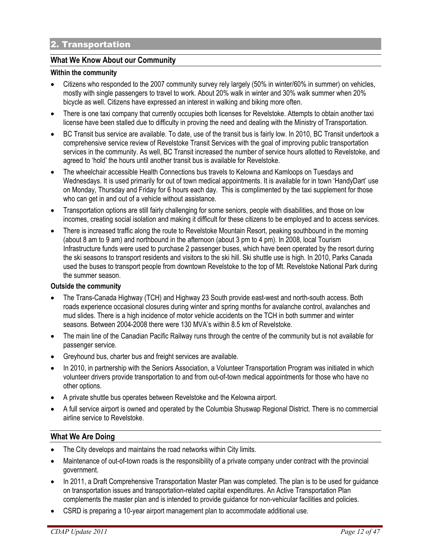#### **What We Know About our Community**

#### **Within the community**

- Citizens who responded to the 2007 community survey rely largely (50% in winter/60% in summer) on vehicles, mostly with single passengers to travel to work. About 20% walk in winter and 30% walk summer when 20% bicycle as well. Citizens have expressed an interest in walking and biking more often.
- There is one taxi company that currently occupies both licenses for Revelstoke. Attempts to obtain another taxi license have been stalled due to difficulty in proving the need and dealing with the Ministry of Transportation.
- BC Transit bus service are available. To date, use of the transit bus is fairly low. In 2010, BC Transit undertook a comprehensive service review of Revelstoke Transit Services with the goal of improving public transportation services in the community. As well, BC Transit increased the number of service hours allotted to Revelstoke, and agreed to 'hold' the hours until another transit bus is available for Revelstoke.
- The wheelchair accessible Health Connections bus travels to Kelowna and Kamloops on Tuesdays and Wednesdays. It is used primarily for out of town medical appointments. It is available for in town 'HandyDart' use on Monday, Thursday and Friday for 6 hours each day. This is complimented by the taxi supplement for those who can get in and out of a vehicle without assistance.
- Transportation options are still fairly challenging for some seniors, people with disabilities, and those on low incomes, creating social isolation and making it difficult for these citizens to be employed and to access services.
- There is increased traffic along the route to Revelstoke Mountain Resort, peaking southbound in the morning (about 8 am to 9 am) and northbound in the afternoon (about 3 pm to 4 pm). In 2008, local Tourism Infrastructure funds were used to purchase 2 passenger buses, which have been operated by the resort during the ski seasons to transport residents and visitors to the ski hill. Ski shuttle use is high. In 2010, Parks Canada used the buses to transport people from downtown Revelstoke to the top of Mt. Revelstoke National Park during the summer season.

#### **Outside the community**

- The Trans-Canada Highway (TCH) and Highway 23 South provide east-west and north-south access. Both roads experience occasional closures during winter and spring months for avalanche control, avalanches and mud slides. There is a high incidence of motor vehicle accidents on the TCH in both summer and winter seasons. Between 2004-2008 there were 130 MVA's within 8.5 km of Revelstoke.
- The main line of the Canadian Pacific Railway runs through the centre of the community but is not available for passenger service.
- Greyhound bus, charter bus and freight services are available.
- In 2010, in partnership with the Seniors Association, a Volunteer Transportation Program was initiated in which volunteer drivers provide transportation to and from out-of-town medical appointments for those who have no other options.
- A private shuttle bus operates between Revelstoke and the Kelowna airport.
- A full service airport is owned and operated by the Columbia Shuswap Regional District. There is no commercial airline service to Revelstoke.

#### **What We Are Doing**

- The City develops and maintains the road networks within City limits.
- Maintenance of out-of-town roads is the responsibility of a private company under contract with the provincial government.
- In 2011, a Draft Comprehensive Transportation Master Plan was completed. The plan is to be used for guidance on transportation issues and transportation-related capital expenditures. An Active Transportation Plan complements the master plan and is intended to provide guidance for non-vehicular facilities and policies.
- CSRD is preparing a 10-year airport management plan to accommodate additional use.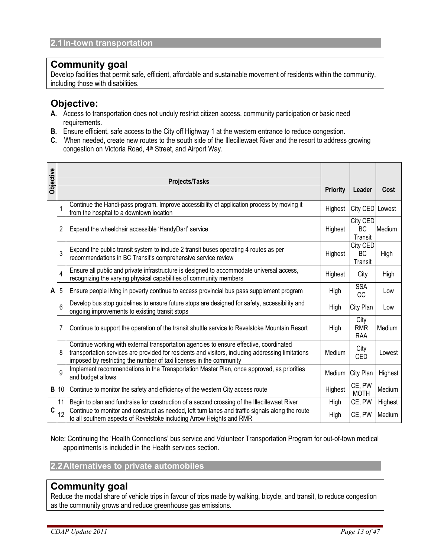## **Community goal**

Develop facilities that permit safe, efficient, affordable and sustainable movement of residents within the community, including those with disabilities.

## **Objective:**

- **A.** Access to transportation does not unduly restrict citizen access, community participation or basic need requirements.
- **B.** Ensure efficient, safe access to the City off Highway 1 at the western entrance to reduce congestion.
- **C.** When needed, create new routes to the south side of the Illecillewaet River and the resort to address growing congestion on Victoria Road, 4th Street, and Airport Way.

| <b>Objective</b> |    | <b>Projects/Tasks</b>                                                                                                                                                                                                                                               | <b>Priority</b> | Leader                           | Cost    |
|------------------|----|---------------------------------------------------------------------------------------------------------------------------------------------------------------------------------------------------------------------------------------------------------------------|-----------------|----------------------------------|---------|
|                  |    | Continue the Handi-pass program. Improve accessibility of application process by moving it<br>from the hospital to a downtown location                                                                                                                              | Highest         | City CED Lowest                  |         |
|                  | 2  | Expand the wheelchair accessible 'HandyDart' service                                                                                                                                                                                                                | Highest         | City CED<br>BC<br>Transit        | Medium  |
|                  | 3  | Expand the public transit system to include 2 transit buses operating 4 routes as per<br>recommendations in BC Transit's comprehensive service review                                                                                                               | Highest         | City CED<br>BC<br>Transit        | High    |
|                  | 4  | Ensure all public and private infrastructure is designed to accommodate universal access,<br>recognizing the varying physical capabilities of community members                                                                                                     | Highest         | City                             | High    |
| A                | 5  | Ensure people living in poverty continue to access provincial bus pass supplement program                                                                                                                                                                           | High            | <b>SSA</b><br><b>CC</b>          | Low     |
|                  | 6  | Develop bus stop guidelines to ensure future stops are designed for safety, accessibility and<br>ongoing improvements to existing transit stops                                                                                                                     | High            | City Plan                        | Low     |
|                  | 7  | Continue to support the operation of the transit shuttle service to Revelstoke Mountain Resort                                                                                                                                                                      | High            | City<br><b>RMR</b><br><b>RAA</b> | Medium  |
|                  | 8  | Continue working with external transportation agencies to ensure effective, coordinated<br>transportation services are provided for residents and visitors, including addressing limitations<br>imposed by restricting the number of taxi licenses in the community | Medium          | City<br><b>CED</b>               | Lowest  |
|                  | 9  | Implement recommendations in the Transportation Master Plan, once approved, as priorities<br>and budget allows                                                                                                                                                      | Medium          | City Plan                        | Highest |
| B                | 10 | Continue to monitor the safety and efficiency of the western City access route                                                                                                                                                                                      | Highest         | CE, PW<br><b>MOTH</b>            | Medium  |
|                  | 11 | Begin to plan and fundraise for construction of a second crossing of the Illecillewaet River                                                                                                                                                                        | High            | CE, PW                           | Highest |
| C                | 12 | Continue to monitor and construct as needed, left turn lanes and traffic signals along the route<br>to all southern aspects of Revelstoke including Arrow Heights and RMR                                                                                           | High            | CE, PW                           | Medium  |

Note: Continuing the 'Health Connections' bus service and Volunteer Transportation Program for out-of-town medical appointments is included in the Health services section.

**2.2 Alternatives to private automobiles** 

## **Community goal**

Reduce the modal share of vehicle trips in favour of trips made by walking, bicycle, and transit, to reduce congestion as the community grows and reduce greenhouse gas emissions.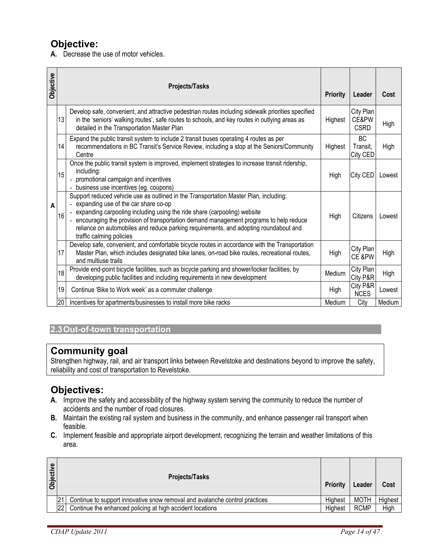## **Objective:**

**A.** Decrease the use of motor vehicles.

| Objective |    | <b>Projects/Tasks</b>                                                                                                                                                                                                                                                                                                                                                                                                        | <b>Priority</b> | Leader                            | Cost   |
|-----------|----|------------------------------------------------------------------------------------------------------------------------------------------------------------------------------------------------------------------------------------------------------------------------------------------------------------------------------------------------------------------------------------------------------------------------------|-----------------|-----------------------------------|--------|
|           | 13 | Develop safe, convenient, and attractive pedestrian routes including sidewalk priorities specified<br>in the 'seniors' walking routes', safe routes to schools, and key routes in outlying areas as<br>detailed in the Transportation Master Plan                                                                                                                                                                            | Highest         | City Plan<br>CE&PW<br><b>CSRD</b> | High   |
|           | 14 | Expand the public transit system to include 2 transit buses operating 4 routes as per<br>recommendations in BC Transit's Service Review, including a stop at the Seniors/Community<br>Centre                                                                                                                                                                                                                                 | Highest         | <b>BC</b><br>Transit,<br>City CED | High   |
| A         | 15 | Once the public transit system is improved, implement strategies to increase transit ridership,<br>including:<br>- promotional campaign and incentives<br>- business use incentives (eg. coupons)                                                                                                                                                                                                                            | High            | City CED                          | Lowest |
|           | 16 | Support reduced vehicle use as outlined in the Transportation Master Plan, including:<br>- expanding use of the car share co-op<br>- expanding carpooling including using the ride share (carpooling) website<br>- encouraging the provision of transportation demand management programs to help reduce<br>reliance on automobiles and reduce parking requirements, and adopting roundabout and<br>traffic calming policies | High            | Citizens                          | Lowest |
|           | 17 | Develop safe, convenient, and comfortable bicycle routes in accordance with the Transportation<br>Master Plan, which includes designated bike lanes, on-road bike routes, recreational routes,<br>and multiuse trails                                                                                                                                                                                                        | High            | City Plan<br>CE &PW               | High   |
|           | 18 | Provide end-point bicycle facilities, such as bicycle parking and shower/locker facilities, by<br>developing public facilities and including requirements in new development                                                                                                                                                                                                                                                 | Medium          | City Plan<br>City P&R             | High   |
|           | 19 | Continue 'Bike to Work week' as a commuter challenge                                                                                                                                                                                                                                                                                                                                                                         | High            | City P&R<br><b>NCES</b>           | Lowest |
|           | 20 | Incentives for apartments/businesses to install more bike racks                                                                                                                                                                                                                                                                                                                                                              | Medium          | City                              | Medium |

#### **2.3 Out-of-town transportation**

## **Community goal**

Strengthen highway, rail, and air transport links between Revelstoke and destinations beyond to improve the safety, reliability and cost of transportation to Revelstoke.

## **Objectives:**

- **A.** Improve the safety and accessibility of the highway system serving the community to reduce the number of accidents and the number of road closures.
- **B.** Maintain the existing rail system and business in the community, and enhance passenger rail transport when feasible.
- **C.** Implement feasible and appropriate airport development, recognizing the terrain and weather limitations of this area.

| <b>Objective</b> |           | <b>Projects/Tasks</b>                                                       | <b>Priority</b> | Leader      | Cost    |
|------------------|-----------|-----------------------------------------------------------------------------|-----------------|-------------|---------|
|                  |           | Continue to support innovative snow removal and avalanche control practices | Highest         | MOTH        | Highest |
|                  | <b>22</b> | Continue the enhanced policing at high accident locations                   | Highest         | <b>RCMP</b> | High    |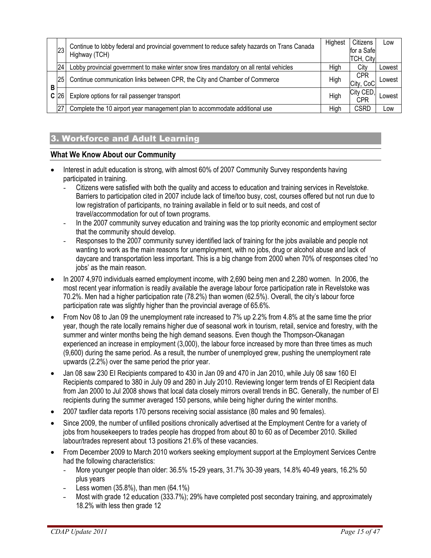|          | 23              | Continue to lobby federal and provincial government to reduce safety hazards on Trans Canada | Highest | Citizens<br>for a Safel | LOW    |
|----------|-----------------|----------------------------------------------------------------------------------------------|---------|-------------------------|--------|
|          |                 | Highway (TCH)                                                                                |         | TCH, City               |        |
|          | 24              | Lobby provincial government to make winter snow tires mandatory on all rental vehicles       | High    | City                    | Lowest |
|          | 25 <sup>1</sup> | Continue communication links between CPR, the City and Chamber of Commerce                   | High    | <b>CPR</b><br>City, CoC | ∟owest |
| В<br>C I | 26              | Explore options for rail passenger transport                                                 | High    | City CED,<br>CPR        | Lowest |
|          | 27              | Complete the 10 airport year management plan to accommodate additional use                   | High    | <b>CSRD</b>             | LOW    |

#### 3. Workforce and Adult Learning

#### **What We Know About our Community**

- Interest in adult education is strong, with almost 60% of 2007 Community Survey respondents having participated in training.
	- Citizens were satisfied with both the quality and access to education and training services in Revelstoke. Barriers to participation cited in 2007 include lack of time/too busy, cost, courses offered but not run due to low registration of participants, no training available in field or to suit needs, and cost of travel/accommodation for out of town programs.
	- In the 2007 community survey education and training was the top priority economic and employment sector that the community should develop.
	- Responses to the 2007 community survey identified lack of training for the jobs available and people not wanting to work as the main reasons for unemployment, with no jobs, drug or alcohol abuse and lack of daycare and transportation less important. This is a big change from 2000 when 70% of responses cited 'no jobs' as the main reason.
- In 2007 4,970 individuals earned employment income, with 2,690 being men and 2,280 women. In 2006, the most recent year information is readily available the average labour force participation rate in Revelstoke was 70.2%. Men had a higher participation rate (78.2%) than women (62.5%). Overall, the city's labour force participation rate was slightly higher than the provincial average of 65.6%.
- From Nov 08 to Jan 09 the unemployment rate increased to 7% up 2.2% from 4.8% at the same time the prior year, though the rate locally remains higher due of seasonal work in tourism, retail, service and forestry, with the summer and winter months being the high demand seasons. Even though the Thompson-Okanagan experienced an increase in employment (3,000), the labour force increased by more than three times as much (9,600) during the same period. As a result, the number of unemployed grew, pushing the unemployment rate upwards (2.2%) over the same period the prior year.
- Jan 08 saw 230 EI Recipients compared to 430 in Jan 09 and 470 in Jan 2010, while July 08 saw 160 EI Recipients compared to 380 in July 09 and 280 in July 2010. Reviewing longer term trends of EI Recipient data from Jan 2000 to Jul 2008 shows that local data closely mirrors overall trends in BC. Generally, the number of EI recipients during the summer averaged 150 persons, while being higher during the winter months.
- 2007 taxfiler data reports 170 persons receiving social assistance (80 males and 90 females).
- Since 2009, the number of unfilled positions chronically advertised at the Employment Centre for a variety of jobs from housekeepers to trades people has dropped from about 80 to 60 as of December 2010. Skilled labour/trades represent about 13 positions 21.6% of these vacancies.
- From December 2009 to March 2010 workers seeking employment support at the Employment Services Centre had the following characteristics:
	- More younger people than older: 36.5% 15-29 years, 31.7% 30-39 years, 14.8% 40-49 years, 16.2% 50 plus years
	- Less women  $(35.8\%)$ , than men  $(64.1\%)$
	- Most with grade 12 education (333.7%); 29% have completed post secondary training, and approximately 18.2% with less then grade 12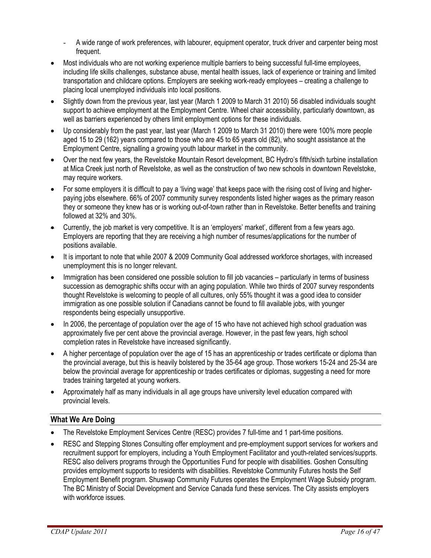- A wide range of work preferences, with labourer, equipment operator, truck driver and carpenter being most frequent.
- Most individuals who are not working experience multiple barriers to being successful full-time employees, including life skills challenges, substance abuse, mental health issues, lack of experience or training and limited transportation and childcare options. Employers are seeking work-ready employees – creating a challenge to placing local unemployed individuals into local positions.
- Slightly down from the previous year, last year (March 1 2009 to March 31 2010) 56 disabled individuals sought support to achieve employment at the Employment Centre. Wheel chair accessibility, particularly downtown, as well as barriers experienced by others limit employment options for these individuals.
- Up considerably from the past year, last year (March 1 2009 to March 31 2010) there were 100% more people aged 15 to 29 (162) years compared to those who are 45 to 65 years old (82), who sought assistance at the Employment Centre, signalling a growing youth labour market in the community.
- Over the next few years, the Revelstoke Mountain Resort development, BC Hydro's fifth/sixth turbine installation at Mica Creek just north of Revelstoke, as well as the construction of two new schools in downtown Revelstoke, may require workers.
- For some employers it is difficult to pay a 'living wage' that keeps pace with the rising cost of living and higherpaying jobs elsewhere. 66% of 2007 community survey respondents listed higher wages as the primary reason they or someone they knew has or is working out-of-town rather than in Revelstoke. Better benefits and training followed at 32% and 30%.
- Currently, the job market is very competitive. It is an 'employers' market', different from a few years ago. Employers are reporting that they are receiving a high number of resumes/applications for the number of positions available.
- It is important to note that while 2007 & 2009 Community Goal addressed workforce shortages, with increased unemployment this is no longer relevant.
- Immigration has been considered one possible solution to fill job vacancies particularly in terms of business succession as demographic shifts occur with an aging population. While two thirds of 2007 survey respondents thought Revelstoke is welcoming to people of all cultures, only 55% thought it was a good idea to consider immigration as one possible solution if Canadians cannot be found to fill available jobs, with younger respondents being especially unsupportive.
- In 2006, the percentage of population over the age of 15 who have not achieved high school graduation was approximately five per cent above the provincial average. However, in the past few years, high school completion rates in Revelstoke have increased significantly.
- A higher percentage of population over the age of 15 has an apprenticeship or trades certificate or diploma than the provincial average, but this is heavily bolstered by the 35-64 age group. Those workers 15-24 and 25-34 are below the provincial average for apprenticeship or trades certificates or diplomas, suggesting a need for more trades training targeted at young workers.
- Approximately half as many individuals in all age groups have university level education compared with provincial levels.

#### **What We Are Doing**

- The Revelstoke Employment Services Centre (RESC) provides 7 full-time and 1 part-time positions.
- RESC and Stepping Stones Consulting offer employment and pre-employment support services for workers and recruitment support for employers, including a Youth Employment Facilitator and youth-related services/supprts. RESC also delivers programs through the Opportunities Fund for people with disabilities. Goshen Consulting provides employment supports to residents with disabilities. Revelstoke Community Futures hosts the Self Employment Benefit program. Shuswap Community Futures operates the Employment Wage Subsidy program. The BC Ministry of Social Development and Service Canada fund these services. The City assists employers with workforce issues.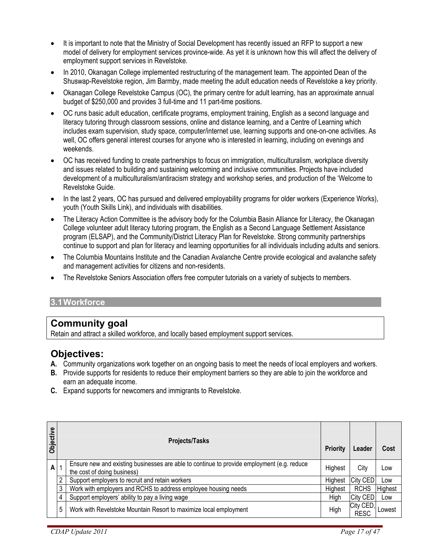- It is important to note that the Ministry of Social Development has recently issued an RFP to support a new model of delivery for employment services province-wide. As yet it is unknown how this will affect the delivery of employment support services in Revelstoke.
- In 2010, Okanagan College implemented restructuring of the management team. The appointed Dean of the Shuswap-Revelstoke region, Jim Barmby, made meeting the adult education needs of Revelstoke a key priority.
- Okanagan College Revelstoke Campus (OC), the primary centre for adult learning, has an approximate annual budget of \$250,000 and provides 3 full-time and 11 part-time positions.
- OC runs basic adult education, certificate programs, employment training, English as a second language and literacy tutoring through classroom sessions, online and distance learning, and a Centre of Learning which includes exam supervision, study space, computer/internet use, learning supports and one-on-one activities. As well, OC offers general interest courses for anyone who is interested in learning, including on evenings and weekends.
- OC has received funding to create partnerships to focus on immigration, multiculturalism, workplace diversity and issues related to building and sustaining welcoming and inclusive communities. Projects have included development of a multiculturalism/antiracism strategy and workshop series, and production of the 'Welcome to Revelstoke Guide.
- In the last 2 years, OC has pursued and delivered employability programs for older workers (Experience Works), youth (Youth Skills Link), and individuals with disabilities.
- The Literacy Action Committee is the advisory body for the Columbia Basin Alliance for Literacy, the Okanagan College volunteer adult literacy tutoring program, the English as a Second Language Settlement Assistance program (ELSAP), and the Community/District Literacy Plan for Revelstoke. Strong community partnerships continue to support and plan for literacy and learning opportunities for all individuals including adults and seniors.
- The Columbia Mountains Institute and the Canadian Avalanche Centre provide ecological and avalanche safety and management activities for citizens and non-residents.
- The Revelstoke Seniors Association offers free computer tutorials on a variety of subjects to members.

#### **3.1 Workforce**

## **Community goal**

Retain and attract a skilled workforce, and locally based employment support services.

## **Objectives:**

- **A.** Community organizations work together on an ongoing basis to meet the needs of local employers and workers.
- **B.** Provide supports for residents to reduce their employment barriers so they are able to join the workforce and earn an adequate income.
- **C.** Expand supports for newcomers and immigrants to Revelstoke.

| Objective |                | <b>Projects/Tasks</b>                                                                                                     | <b>Priority</b> | Leader                   | Cost    |
|-----------|----------------|---------------------------------------------------------------------------------------------------------------------------|-----------------|--------------------------|---------|
| A         |                | Ensure new and existing businesses are able to continue to provide employment (e.g. reduce<br>the cost of doing business) | Highest         | City                     | Low     |
|           | $\mathfrak{p}$ | Support employers to recruit and retain workers                                                                           | Highest         | <b>City CED</b>          | Low     |
|           | 3              | Work with employers and RCHS to address employee housing needs                                                            | Highest         | <b>RCHS</b>              | Highest |
|           | 4              | Support employers' ability to pay a living wage                                                                           | High            | City CED                 | Low     |
|           | 5              | Work with Revelstoke Mountain Resort to maximize local employment                                                         | High            | City CED,<br><b>RESC</b> | Lowest  |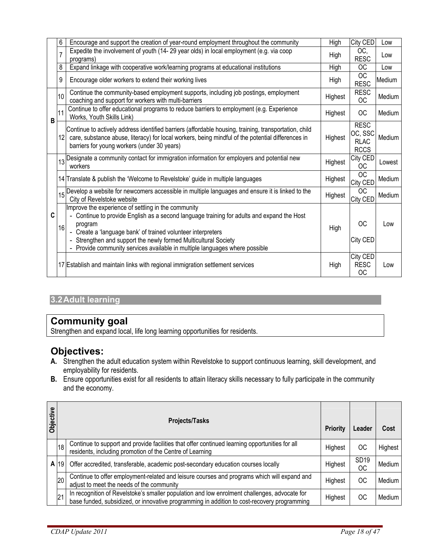|   | 6               | Encourage and support the creation of year-round employment throughout the community                                                                                                                                                                                                                                                                                       | High    | City CED                                             | Low    |
|---|-----------------|----------------------------------------------------------------------------------------------------------------------------------------------------------------------------------------------------------------------------------------------------------------------------------------------------------------------------------------------------------------------------|---------|------------------------------------------------------|--------|
|   | $\overline{7}$  | Expedite the involvement of youth (14-29 year olds) in local employment (e.g. via coop<br>programs)                                                                                                                                                                                                                                                                        | High    | OC,<br><b>RESC</b>                                   | Low    |
|   | 8               | Expand linkage with cooperative work/learning programs at educational institutions                                                                                                                                                                                                                                                                                         | High    | <b>OC</b>                                            | Low    |
|   | 9               | Encourage older workers to extend their working lives                                                                                                                                                                                                                                                                                                                      | High    | OC<br><b>RESC</b>                                    | Medium |
|   | 10              | Continue the community-based employment supports, including job postings, employment<br>coaching and support for workers with multi-barriers                                                                                                                                                                                                                               | Highest | <b>RESC</b><br>OC                                    | Medium |
| B | 11              | Continue to offer educational programs to reduce barriers to employment (e.g. Experience<br>Works, Youth Skills Link)                                                                                                                                                                                                                                                      | Highest | ОC                                                   | Medium |
|   | 12 <sub>2</sub> | Continue to actively address identified barriers (affordable housing, training, transportation, child<br>care, substance abuse, literacy) for local workers, being mindful of the potential differences in<br>barriers for young workers (under 30 years)                                                                                                                  | Highest | <b>RESC</b><br>OC, SSC<br><b>RLAC</b><br><b>RCCS</b> | Medium |
|   | 13              | Designate a community contact for immigration information for employers and potential new<br>workers                                                                                                                                                                                                                                                                       | Highest | City CED<br><b>OC</b>                                | Lowest |
|   |                 | 14 Translate & publish the 'Welcome to Revelstoke' guide in multiple languages                                                                                                                                                                                                                                                                                             | Highest | <b>OC</b><br>City CED                                | Medium |
|   | 15              | Develop a website for newcomers accessible in multiple languages and ensure it is linked to the<br>City of Revelstoke website                                                                                                                                                                                                                                              | Highest | <b>OC</b><br>City CED                                | Medium |
| C | 16              | Improve the experience of settling in the community<br>Continue to provide English as a second language training for adults and expand the Host<br>program<br>- Create a 'language bank' of trained volunteer interpreters<br>- Strengthen and support the newly formed Multicultural Society<br>Provide community services available in multiple languages where possible | High    | ОC<br>City CED                                       | Low    |
|   |                 | 17 Establish and maintain links with regional immigration settlement services                                                                                                                                                                                                                                                                                              | High    | City CED<br><b>RESC</b><br><b>OC</b>                 | Low    |

## **3.2 Adult learning**

## **Community goal**

Strengthen and expand local, life long learning opportunities for residents.

## **Objectives:**

- **A.** Strengthen the adult education system within Revelstoke to support continuous learning, skill development, and employability for residents.
- **B.** Ensure opportunities exist for all residents to attain literacy skills necessary to fully participate in the community and the economy.

| Objective |        | <b>Projects/Tasks</b>                                                                                                                                                                       | Priority | Leader                 | Cost    |
|-----------|--------|---------------------------------------------------------------------------------------------------------------------------------------------------------------------------------------------|----------|------------------------|---------|
|           | 18     | Continue to support and provide facilities that offer continued learning opportunities for all residents, including promotion of the Centre of Learning                                     | Highest  | ОC                     | Highest |
|           | A   19 | Offer accredited, transferable, academic post-secondary education courses locally                                                                                                           | Highest  | SD <sub>19</sub><br>ОC | Medium  |
|           | 20     | Continue to offer employment-related and leisure courses and programs which will expand and<br>adjust to meet the needs of the community                                                    | Highest  | ОC                     | Medium  |
|           | 21     | In recognition of Revelstoke's smaller population and low enrolment challenges, advocate for<br>base funded, subsidized, or innovative programming in addition to cost-recovery programming | Highest  | ОC                     | Medium  |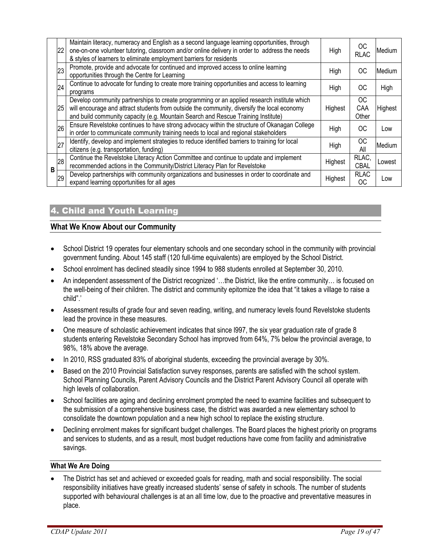|   | 22 | Maintain literacy, numeracy and English as a second language learning opportunities, through<br>one-on-one volunteer tutoring, classroom and/or online delivery in order to address the needs<br>& styles of learners to eliminate employment barriers for residents            | High    | OС<br><b>RLAC</b>  | Medium  |
|---|----|---------------------------------------------------------------------------------------------------------------------------------------------------------------------------------------------------------------------------------------------------------------------------------|---------|--------------------|---------|
|   | 23 | Promote, provide and advocate for continued and improved access to online learning<br>opportunities through the Centre for Learning                                                                                                                                             | High    | ОC                 | Medium  |
|   | 24 | Continue to advocate for funding to create more training opportunities and access to learning<br>programs                                                                                                                                                                       | High    | ОC                 | High    |
|   | 25 | Develop community partnerships to create programming or an applied research institute which<br>will encourage and attract students from outside the community, diversify the local economy<br>and build community capacity (e.g. Mountain Search and Rescue Training Institute) | Highest | ОC<br>CAA<br>Other | Highest |
|   | 26 | Ensure Revelstoke continues to have strong advocacy within the structure of Okanagan College<br>in order to communicate community training needs to local and regional stakeholders                                                                                             | High    | ОC                 | Low     |
|   | 27 | Identify, develop and implement strategies to reduce identified barriers to training for local<br>citizens (e.g. transportation, funding)                                                                                                                                       | High    | <b>OC</b><br>All   | Medium  |
| В | 28 | Continue the Revelstoke Literacy Action Committee and continue to update and implement<br>recommended actions in the Community/District Literacy Plan for Revelstoke                                                                                                            | Highest | RLAC,<br>CBAL      | Lowest  |
|   | 29 | Develop partnerships with community organizations and businesses in order to coordinate and<br>expand learning opportunities for all ages                                                                                                                                       | Highest | <b>RLAC</b><br>OC. | Low     |

## 4. Child and Youth Learning

#### **What We Know About our Community**

- School District 19 operates four elementary schools and one secondary school in the community with provincial government funding. About 145 staff (120 full-time equivalents) are employed by the School District.
- School enrolment has declined steadily since 1994 to 988 students enrolled at September 30, 2010.
- An independent assessment of the District recognized '…the District, like the entire community… is focused on the well-being of their children. The district and community epitomize the idea that "it takes a village to raise a child".'
- Assessment results of grade four and seven reading, writing, and numeracy levels found Revelstoke students lead the province in these measures.
- One measure of scholastic achievement indicates that since l997, the six year graduation rate of grade 8 students entering Revelstoke Secondary School has improved from 64%, 7% below the provincial average, to 98%, 18% above the average.
- In 2010, RSS graduated 83% of aboriginal students, exceeding the provincial average by 30%.
- Based on the 2010 Provincial Satisfaction survey responses, parents are satisfied with the school system. School Planning Councils, Parent Advisory Councils and the District Parent Advisory Council all operate with high levels of collaboration.
- School facilities are aging and declining enrolment prompted the need to examine facilities and subsequent to the submission of a comprehensive business case, the district was awarded a new elementary school to consolidate the downtown population and a new high school to replace the existing structure.
- Declining enrolment makes for significant budget challenges. The Board places the highest priority on programs and services to students, and as a result, most budget reductions have come from facility and administrative savings.

#### **What We Are Doing**

• The District has set and achieved or exceeded goals for reading, math and social responsibility. The social responsibility initiatives have greatly increased students' sense of safety in schools. The number of students supported with behavioural challenges is at an all time low, due to the proactive and preventative measures in place.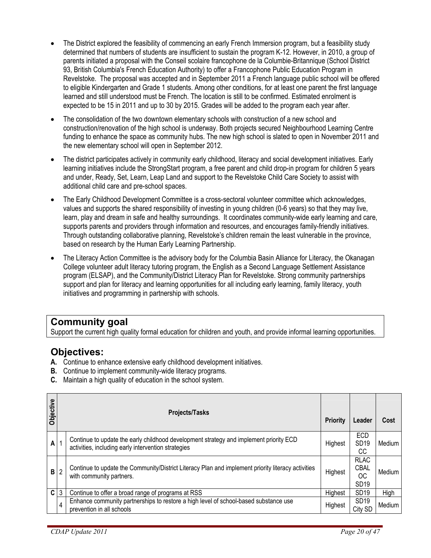- The District explored the feasibility of commencing an early French Immersion program, but a feasibility study determined that numbers of students are insufficient to sustain the program K-12. However, in 2010, a group of parents initiated a proposal with the Conseil scolaire francophone de la Columbie-Britannique (School District 93, British Columbia's French Education Authority) to offer a Francophone Public Education Program in Revelstoke. The proposal was accepted and in September 2011 a French language public school will be offered to eligible Kindergarten and Grade 1 students. Among other conditions, for at least one parent the first language learned and still understood must be French. The location is still to be confirmed. Estimated enrolment is expected to be 15 in 2011 and up to 30 by 2015. Grades will be added to the program each year after.
- The consolidation of the two downtown elementary schools with construction of a new school and construction/renovation of the high school is underway. Both projects secured Neighbourhood Learning Centre funding to enhance the space as community hubs. The new high school is slated to open in November 2011 and the new elementary school will open in September 2012.
- The district participates actively in community early childhood, literacy and social development initiatives. Early learning initiatives include the StrongStart program, a free parent and child drop-in program for children 5 years and under, Ready, Set, Learn, Leap Land and support to the Revelstoke Child Care Society to assist with additional child care and pre-school spaces.
- The Early Childhood Development Committee is a cross-sectoral volunteer committee which acknowledges, values and supports the shared responsibility of investing in young children (0-6 years) so that they may live, learn, play and dream in safe and healthy surroundings. It coordinates community-wide early learning and care, supports parents and providers through information and resources, and encourages family-friendly initiatives. Through outstanding collaborative planning, Revelstoke's children remain the least vulnerable in the province, based on research by the Human Early Learning Partnership.
- The Literacy Action Committee is the advisory body for the Columbia Basin Alliance for Literacy, the Okanagan College volunteer adult literacy tutoring program, the English as a Second Language Settlement Assistance program (ELSAP), and the Community/District Literacy Plan for Revelstoke. Strong community partnerships support and plan for literacy and learning opportunities for all including early learning, family literacy, youth initiatives and programming in partnership with schools.

## **Community goal**

Support the current high quality formal education for children and youth, and provide informal learning opportunities.

## **Objectives:**

- **A.** Continue to enhance extensive early childhood development initiatives.
- **B.** Continue to implement community-wide literacy programs.
- **C.** Maintain a high quality of education in the school system.

| Objective    |              | <b>Projects/Tasks</b>                                                                                                                         | <b>Priority</b> | Leader                                               | Cost   |
|--------------|--------------|-----------------------------------------------------------------------------------------------------------------------------------------------|-----------------|------------------------------------------------------|--------|
| Α            |              | Continue to update the early childhood development strategy and implement priority ECD<br>activities, including early intervention strategies | Highest         | ECD<br>SD <sub>19</sub><br>CС                        | Medium |
| в            | 2            | Continue to update the Community/District Literacy Plan and implement priority literacy activities<br>with community partners.                | Highest         | <b>RLAC</b><br><b>CBAL</b><br>ОC<br>SD <sub>19</sub> | Medium |
| $\mathbf{C}$ | $\mathbf{3}$ | Continue to offer a broad range of programs at RSS                                                                                            | Highest         | SD <sub>19</sub>                                     | High   |
|              | 4            | Enhance community partnerships to restore a high level of school-based substance use<br>prevention in all schools                             | Highest         | SD <sub>19</sub><br>City SD                          | Medium |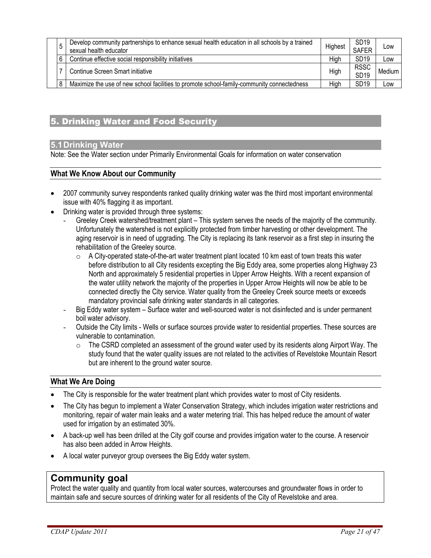|  | -<br>ა | Develop community partnerships to enhance sexual health education in all schools by a trained | Highest | SD <sub>19</sub> | Low    |
|--|--------|-----------------------------------------------------------------------------------------------|---------|------------------|--------|
|  |        | sexual health educator                                                                        |         | <b>SAFER</b>     |        |
|  | 6      | Continue effective social responsibility initiatives                                          | Hiah    | SD <sub>19</sub> | Low    |
|  |        | Continue Screen Smart initiative                                                              | High    | <b>RSSC</b>      | Medium |
|  |        |                                                                                               |         | SD <sub>19</sub> |        |
|  | 8      | Maximize the use of new school facilities to promote school-family-community connectedness    | High    | SD <sub>19</sub> | Low    |
|  |        |                                                                                               |         |                  |        |

#### 5. Drinking Water and Food Security

#### **5.1 Drinking Water**

Note: See the Water section under Primarily Environmental Goals for information on water conservation

#### **What We Know About our Community**

- 2007 community survey respondents ranked quality drinking water was the third most important environmental issue with 40% flagging it as important.
- Drinking water is provided through three systems:
	- Greeley Creek watershed/treatment plant This system serves the needs of the majority of the community. Unfortunately the watershed is not explicitly protected from timber harvesting or other development. The aging reservoir is in need of upgrading. The City is replacing its tank reservoir as a first step in insuring the rehabilitation of the Greeley source.
		- $\circ$  A City-operated state-of-the-art water treatment plant located 10 km east of town treats this water before distribution to all City residents excepting the Big Eddy area, some properties along Highway 23 North and approximately 5 residential properties in Upper Arrow Heights. With a recent expansion of the water utility network the majority of the properties in Upper Arrow Heights will now be able to be connected directly the City service. Water quality from the Greeley Creek source meets or exceeds mandatory provincial safe drinking water standards in all categories.
	- Big Eddy water system Surface water and well-sourced water is not disinfected and is under permanent boil water advisory.
	- Outside the City limits Wells or surface sources provide water to residential properties. These sources are vulnerable to contamination.
		- o The CSRD completed an assessment of the ground water used by its residents along Airport Way. The study found that the water quality issues are not related to the activities of Revelstoke Mountain Resort but are inherent to the ground water source.

#### **What We Are Doing**

- The City is responsible for the water treatment plant which provides water to most of City residents.
- The City has begun to implement a Water Conservation Strategy, which includes irrigation water restrictions and monitoring, repair of water main leaks and a water metering trial. This has helped reduce the amount of water used for irrigation by an estimated 30%.
- A back-up well has been drilled at the City golf course and provides irrigation water to the course. A reservoir has also been added in Arrow Heights.
- A local water purveyor group oversees the Big Eddy water system.

## **Community goal**

Protect the water quality and quantity from local water sources, watercourses and groundwater flows in order to maintain safe and secure sources of drinking water for all residents of the City of Revelstoke and area.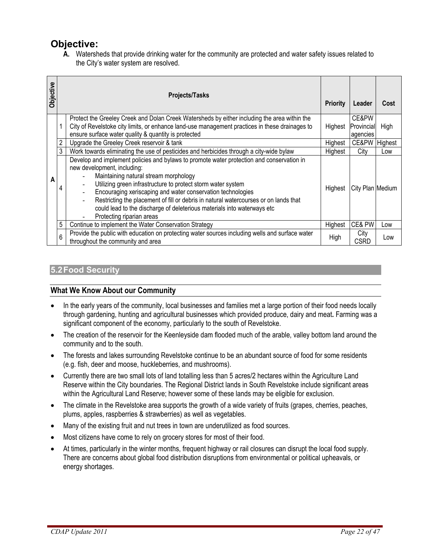## **Objective:**

**A.** Watersheds that provide drinking water for the community are protected and water safety issues related to the City's water system are resolved.

| Objective |   | <b>Projects/Tasks</b>                                                                                                                                                                                                                                                                                                                                                                                                                                                                            | <b>Priority</b> | Leader                          | Cost    |
|-----------|---|--------------------------------------------------------------------------------------------------------------------------------------------------------------------------------------------------------------------------------------------------------------------------------------------------------------------------------------------------------------------------------------------------------------------------------------------------------------------------------------------------|-----------------|---------------------------------|---------|
|           |   | Protect the Greeley Creek and Dolan Creek Watersheds by either including the area within the<br>City of Revelstoke city limits, or enhance land-use management practices in these drainages to<br>ensure surface water quality & quantity is protected                                                                                                                                                                                                                                           | Highest         | CE&PW<br>Provincial<br>agencies | High    |
|           |   | Upgrade the Greeley Creek reservoir & tank                                                                                                                                                                                                                                                                                                                                                                                                                                                       | Highest         | CE&PW                           | Highest |
|           |   | Work towards eliminating the use of pesticides and herbicides through a city-wide bylaw                                                                                                                                                                                                                                                                                                                                                                                                          | Highest         | City                            | Low     |
| Α         | 4 | Develop and implement policies and bylaws to promote water protection and conservation in<br>new development, including:<br>Maintaining natural stream morphology<br>Utilizing green infrastructure to protect storm water system<br>Encouraging xeriscaping and water conservation technologies<br>Restricting the placement of fill or debris in natural watercourses or on lands that<br>could lead to the discharge of deleterious materials into waterways etc<br>Protecting riparian areas | Highest         | City Plan Medium                |         |
|           | 5 | Continue to implement the Water Conservation Strategy                                                                                                                                                                                                                                                                                                                                                                                                                                            | Highest         | CE& PW                          | Low     |
|           | 6 | Provide the public with education on protecting water sources including wells and surface water<br>throughout the community and area                                                                                                                                                                                                                                                                                                                                                             | High            | City<br>CSRD                    | Low     |

#### **5.2 Food Security**

#### **What We Know About our Community**

- In the early years of the community, local businesses and families met a large portion of their food needs locally through gardening, hunting and agricultural businesses which provided produce, dairy and meat**.** Farming was a significant component of the economy, particularly to the south of Revelstoke.
- The creation of the reservoir for the Keenleyside dam flooded much of the arable, valley bottom land around the community and to the south.
- The forests and lakes surrounding Revelstoke continue to be an abundant source of food for some residents (e.g. fish, deer and moose, huckleberries, and mushrooms).
- Currently there are two small lots of land totalling less than 5 acres/2 hectares within the Agriculture Land Reserve within the City boundaries. The Regional District lands in South Revelstoke include significant areas within the Agricultural Land Reserve; however some of these lands may be eligible for exclusion.
- The climate in the Revelstoke area supports the growth of a wide variety of fruits (grapes, cherries, peaches, plums, apples, raspberries & strawberries) as well as vegetables.
- Many of the existing fruit and nut trees in town are underutilized as food sources.
- Most citizens have come to rely on grocery stores for most of their food.
- At times, particularly in the winter months, frequent highway or rail closures can disrupt the local food supply. There are concerns about global food distribution disruptions from environmental or political upheavals, or energy shortages.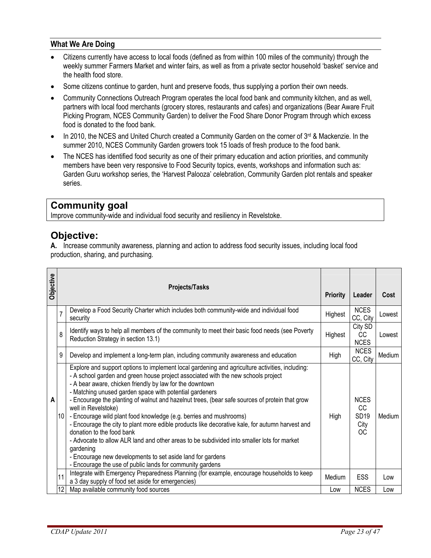#### **What We Are Doing**

- Citizens currently have access to local foods (defined as from within 100 miles of the community) through the weekly summer Farmers Market and winter fairs, as well as from a private sector household 'basket' service and the health food store.
- Some citizens continue to garden, hunt and preserve foods, thus supplying a portion their own needs.
- Community Connections Outreach Program operates the local food bank and community kitchen, and as well, partners with local food merchants (grocery stores, restaurants and cafes) and organizations (Bear Aware Fruit Picking Program, NCES Community Garden) to deliver the Food Share Donor Program through which excess food is donated to the food bank.
- In 2010, the NCES and United Church created a Community Garden on the corner of  $3<sup>rd</sup>$  & Mackenzie. In the summer 2010, NCES Community Garden growers took 15 loads of fresh produce to the food bank.
- The NCES has identified food security as one of their primary education and action priorities, and community members have been very responsive to Food Security topics, events, workshops and information such as: Garden Guru workshop series, the 'Harvest Palooza' celebration, Community Garden plot rentals and speaker series.

## **Community goal**

Improve community-wide and individual food security and resiliency in Revelstoke.

## **Objective:**

**A.** Increase community awareness, planning and action to address food security issues, including local food production, sharing, and purchasing.

| Objective |                | <b>Projects/Tasks</b>                                                                                                                                                                                                                                                                                                                                                                                                                                                                                                                                                                                                                                                                                                                                                                                                                                                            | <b>Priority</b> | Leader                                                | Cost   |
|-----------|----------------|----------------------------------------------------------------------------------------------------------------------------------------------------------------------------------------------------------------------------------------------------------------------------------------------------------------------------------------------------------------------------------------------------------------------------------------------------------------------------------------------------------------------------------------------------------------------------------------------------------------------------------------------------------------------------------------------------------------------------------------------------------------------------------------------------------------------------------------------------------------------------------|-----------------|-------------------------------------------------------|--------|
|           | $\overline{7}$ | Develop a Food Security Charter which includes both community-wide and individual food<br>security                                                                                                                                                                                                                                                                                                                                                                                                                                                                                                                                                                                                                                                                                                                                                                               | Highest         | <b>NCES</b><br>CC, City                               | Lowest |
|           | 8              | Identify ways to help all members of the community to meet their basic food needs (see Poverty<br>Reduction Strategy in section 13.1)                                                                                                                                                                                                                                                                                                                                                                                                                                                                                                                                                                                                                                                                                                                                            | Highest         | City SD<br>CC<br><b>NCES</b>                          | Lowest |
|           | 9              | Develop and implement a long-term plan, including community awareness and education                                                                                                                                                                                                                                                                                                                                                                                                                                                                                                                                                                                                                                                                                                                                                                                              | High            | <b>NCES</b><br>CC, City                               | Medium |
| A         | 10             | Explore and support options to implement local gardening and agriculture activities, including:<br>- A school garden and green house project associated with the new schools project<br>- A bear aware, chicken friendly by law for the downtown<br>- Matching unused garden space with potential gardeners<br>- Encourage the planting of walnut and hazelnut trees, (bear safe sources of protein that grow<br>well in Revelstoke)<br>- Encourage wild plant food knowledge (e.g. berries and mushrooms)<br>- Encourage the city to plant more edible products like decorative kale, for autumn harvest and<br>donation to the food bank<br>- Advocate to allow ALR land and other areas to be subdivided into smaller lots for market<br>gardening<br>- Encourage new developments to set aside land for gardens<br>- Encourage the use of public lands for community gardens | High            | <b>NCES</b><br><b>CC</b><br><b>SD19</b><br>City<br>ОC | Medium |
|           | 11             | Integrate with Emergency Preparedness Planning (for example, encourage households to keep<br>a 3 day supply of food set aside for emergencies)                                                                                                                                                                                                                                                                                                                                                                                                                                                                                                                                                                                                                                                                                                                                   | Medium          | <b>ESS</b>                                            | Low    |
|           | 12             | Map available community food sources                                                                                                                                                                                                                                                                                                                                                                                                                                                                                                                                                                                                                                                                                                                                                                                                                                             | Low             | <b>NCES</b>                                           | Low    |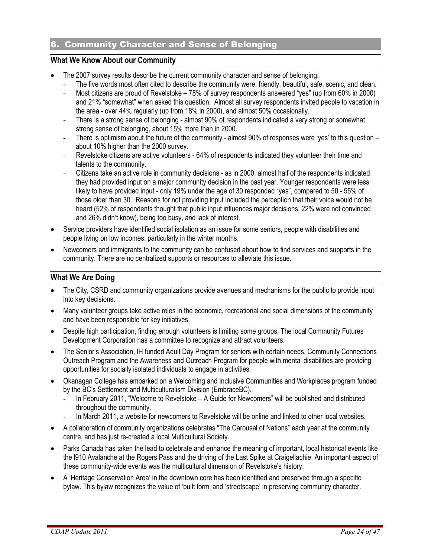## 6. Community Character and Sense of Belonging

#### **What We Know About our Community**

- The 2007 survey results describe the current community character and sense of belonging:
	- The five words most often cited to describe the community were: friendly, beautiful, safe, scenic, and clean.
	- Most citizens are proud of Revelstoke 78% of survey respondents answered "yes" (up from 60% in 2000) and 21% "somewhat" when asked this question. Almost all survey respondents invited people to vacation in the area - over 44% regularly (up from 18% in 2000), and almost 50% occasionally.
	- There is a strong sense of belonging almost 90% of respondents indicated a very strong or somewhat strong sense of belonging, about 15% more than in 2000.
	- There is optimism about the future of the community almost 90% of responses were 'yes' to this question about 10% higher than the 2000 survey.
	- Revelstoke citizens are active volunteers 64% of respondents indicated they volunteer their time and talents to the community.
	- Citizens take an active role in community decisions as in 2000, almost half of the respondents indicated they had provided input on a major community decision in the past year. Younger respondents were less likely to have provided input - only 19% under the age of 30 responded "yes", compared to 50 - 55% of those older than 30. Reasons for not providing input included the perception that their voice would not be heard (52% of respondents thought that public input influences major decisions, 22% were not convinced and 26% didn't know), being too busy, and lack of interest.
- Service providers have identified social isolation as an issue for some seniors, people with disabilities and people living on low incomes, particularly in the winter months.
- Newcomers and immigrants to the community can be confused about how to find services and supports in the community. There are no centralized supports or resources to alleviate this issue.

#### **What We Are Doing**

- The City, CSRD and community organizations provide avenues and mechanisms for the public to provide input into key decisions.
- Many volunteer groups take active roles in the economic, recreational and social dimensions of the community and have been responsible for key initiatives.
- Despite high participation, finding enough volunteers is limiting some groups. The local Community Futures Development Corporation has a committee to recognize and attract volunteers.
- The Senior's Association, IH funded Adult Day Program for seniors with certain needs, Community Connections Outreach Program and the Awareness and Outreach Program for people with mental disabilities are providing opportunities for socially isolated individuals to engage in activities.
- Okanagan College has embarked on a Welcoming and Inclusive Communities and Workplaces program funded by the BC's Settlement and Multiculturalism Division (EmbraceBC).
	- In February 2011, "Welcome to Revelstoke A Guide for Newcomers" will be published and distributed throughout the community.
	- In March 2011, a website for newcomers to Revelstoke will be online and linked to other local websites.
- A collaboration of community organizations celebrates "The Carousel of Nations" each year at the community centre, and has just re-created a local Multicultural Society.
- Parks Canada has taken the lead to celebrate and enhance the meaning of important, local historical events like the l910 Avalanche at the Rogers Pass and the driving of the Last Spike at Craigellachie. An important aspect of these community-wide events was the multicultural dimension of Revelstoke's history.
- A 'Heritage Conservation Area' in the downtown core has been identified and preserved through a specific bylaw. This bylaw recognizes the value of 'built form' and 'streetscape' in preserving community character.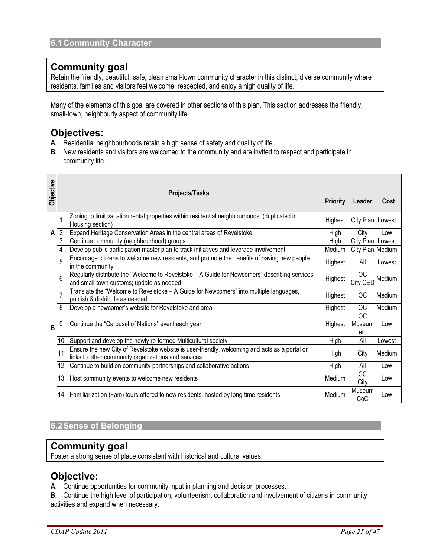## **Community goal**

Retain the friendly, beautiful, safe, clean small-town community character in this distinct, diverse community where residents, families and visitors feel welcome, respected, and enjoy a high quality of life.

Many of the elements of this goal are covered in other sections of this plan. This section addresses the friendly, small-town, neighbourly aspect of community life.

## **Objectives:**

- **A.** Residential neighbourhoods retain a high sense of safety and quality of life.
- **B.** New residents and visitors are welcomed to the community and are invited to respect and participate in community life.

| Objective |                | <b>Projects/Tasks</b>                                                                                                                                | <b>Priority</b> | Leader                | Cost   |
|-----------|----------------|------------------------------------------------------------------------------------------------------------------------------------------------------|-----------------|-----------------------|--------|
|           |                | Zoning to limit vacation rental properties within residential neighbourhoods. (duplicated in<br>Housing section)                                     | Highest         | City Plan   Lowest    |        |
| A         | $\overline{2}$ | Expand Heritage Conservation Areas in the central areas of Revelstoke                                                                                | High            | City                  | Low    |
|           | 3              | Continue community (neighbourhood) groups                                                                                                            | High            | City Plan Lowest      |        |
|           | 4              | Develop public participation master plan to track initiatives and leverage involvement                                                               | Medium          | City Plan Medium      |        |
|           | 5              | Encourage citizens to welcome new residents, and promote the benefits of having new people<br>in the community                                       | Highest         | All                   | Lowest |
|           | 6              | Regularly distribute the "Welcome to Revelstoke - A Guide for Newcomers" describing services<br>and small-town customs; update as needed             | Highest         | <b>OC</b><br>City CED | Medium |
|           |                | Translate the "Welcome to Revelstoke - A Guide for Newcomers" into multiple languages,<br>publish & distribute as needed                             | Highest         | OC                    | Medium |
|           | 8              | Develop a newcomer's website for Revelstoke and area                                                                                                 | Highest         | ОC                    | Medium |
| B         | 9              | Continue the "Carousel of Nations" event each year                                                                                                   | Highest         | OC.<br>Museum<br>etc  | Low    |
|           | 10             | Support and develop the newly re-formed Multicultural society                                                                                        | High            | All                   | Lowest |
|           | 11             | Ensure the new City of Revelstoke website is user-friendly, welcoming and acts as a portal or<br>links to other community organizations and services | High            | City                  | Medium |
|           | 12             | Continue to build on community partnerships and collaborative actions                                                                                | High            | All                   | Low    |
|           | 13             | Host community events to welcome new residents                                                                                                       | Medium          | <b>CC</b><br>City     | Low    |
|           | 14             | Familiarization (Fam) tours offered to new residents, hosted by long-time residents                                                                  | Medium          | Museum<br>CoC         | Low    |

## **6.2 Sense of Belonging**

## **Community goal**

Foster a strong sense of place consistent with historical and cultural values.

## **Objective:**

**A.** Continue opportunities for community input in planning and decision processes.

**B.** Continue the high level of participation, volunteerism, collaboration and involvement of citizens in community activities and expand when necessary.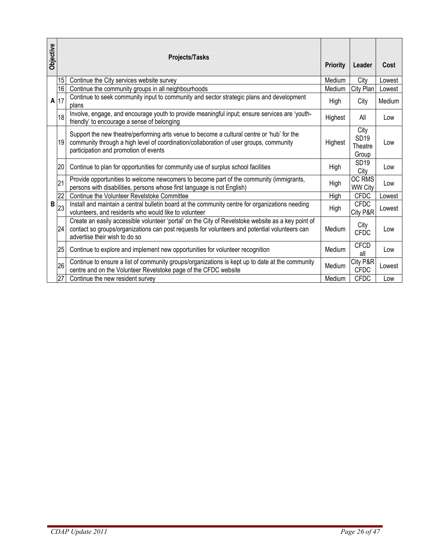| Objective |                                   | Projects/Tasks                                                                                                                                                                                                                       | <b>Priority</b> | Leader                           | Cost   |
|-----------|-----------------------------------|--------------------------------------------------------------------------------------------------------------------------------------------------------------------------------------------------------------------------------------|-----------------|----------------------------------|--------|
|           | 15                                | Continue the City services website survey                                                                                                                                                                                            | Medium          | City                             | Lowest |
|           | 16                                | Continue the community groups in all neighbourhoods                                                                                                                                                                                  | Medium          | City Plan                        | Lowest |
| A         | 17                                | Continue to seek community input to community and sector strategic plans and development<br>plans                                                                                                                                    | High            | City                             | Medium |
|           | 18                                | Involve, engage, and encourage youth to provide meaningful input; ensure services are 'youth-<br>friendly' to encourage a sense of belonging                                                                                         | Highest         | All                              | Low    |
|           | 19                                | Support the new theatre/performing arts venue to become a cultural centre or 'hub' for the<br>community through a high level of coordination/collaboration of user groups, community<br>participation and promotion of events        | Highest         | City<br>SD19<br>Theatre<br>Group | Low    |
|           | 20                                | Continue to plan for opportunities for community use of surplus school facilities                                                                                                                                                    | High            | <b>SD19</b><br>City              | Low    |
|           | 21                                | Provide opportunities to welcome newcomers to become part of the community (immigrants,<br>persons with disabilities, persons whose first language is not English)                                                                   | High            | OC RMS<br><b>WW City</b>         | Low    |
|           | 22                                | Continue the Volunteer Revelstoke Committee                                                                                                                                                                                          | High            | <b>CFDC</b>                      | Lowest |
| B         | 23                                | Install and maintain a central bulletin board at the community centre for organizations needing<br>volunteers, and residents who would like to volunteer                                                                             | High            | <b>CFDC</b><br>City P&R          | Lowest |
|           | 24                                | Create an easily accessible volunteer 'portal' on the City of Revelstoke website as a key point of<br>contact so groups/organizations can post requests for volunteers and potential volunteers can<br>advertise their wish to do so | Medium          | City<br><b>CFDC</b>              | Low    |
|           | 25                                | Continue to explore and implement new opportunities for volunteer recognition                                                                                                                                                        | Medium          | <b>CFCD</b><br>all               | Low    |
|           | 26                                | Continue to ensure a list of community groups/organizations is kept up to date at the community<br>centre and on the Volunteer Revelstoke page of the CFDC website                                                                   | Medium          | City P&R<br><b>CFDC</b>          | Lowest |
|           | 27                                | Continue the new resident survey                                                                                                                                                                                                     | Medium          | <b>CFDC</b>                      | Low    |
|           |                                   |                                                                                                                                                                                                                                      |                 |                                  |        |
|           | CDAP Update 2011<br>Page 26 of 47 |                                                                                                                                                                                                                                      |                 |                                  |        |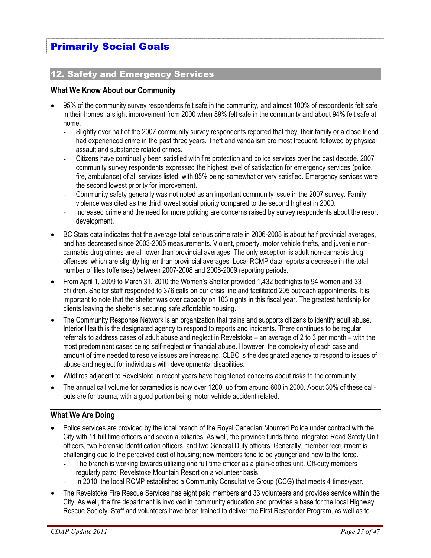# Primarily Social Goals

#### 12. Safety and Emergency Services

#### **What We Know About our Community**

- 95% of the community survey respondents felt safe in the community, and almost 100% of respondents felt safe in their homes, a slight improvement from 2000 when 89% felt safe in the community and about 94% felt safe at home.
	- Slightly over half of the 2007 community survey respondents reported that they, their family or a close friend had experienced crime in the past three years. Theft and vandalism are most frequent, followed by physical assault and substance related crimes.
	- Citizens have continually been satisfied with fire protection and police services over the past decade. 2007 community survey respondents expressed the highest level of satisfaction for emergency services (police, fire, ambulance) of all services listed, with 85% being somewhat or very satisfied. Emergency services were the second lowest priority for improvement.
	- Community safety generally was not noted as an important community issue in the 2007 survey. Family violence was cited as the third lowest social priority compared to the second highest in 2000.
	- Increased crime and the need for more policing are concerns raised by survey respondents about the resort development.
- BC Stats data indicates that the average total serious crime rate in 2006-2008 is about half provincial averages, and has decreased since 2003-2005 measurements. Violent, property, motor vehicle thefts, and juvenile noncannabis drug crimes are all lower than provincial averages. The only exception is adult non-cannabis drug offenses, which are slightly higher than provincial averages. Local RCMP data reports a decrease in the total number of files (offenses) between 2007-2008 and 2008-2009 reporting periods.
- From April 1, 2009 to March 31, 2010 the Women's Shelter provided 1,432 bednights to 94 women and 33 children. Shelter staff responded to 376 calls on our crisis line and facilitated 205 outreach appointments. It is important to note that the shelter was over capacity on 103 nights in this fiscal year. The greatest hardship for clients leaving the shelter is securing safe affordable housing.
- The Community Response Network is an organization that trains and supports citizens to identify adult abuse. Interior Health is the designated agency to respond to reports and incidents. There continues to be regular referrals to address cases of adult abuse and neglect in Revelstoke – an average of 2 to 3 per month – with the most predominant cases being self-neglect or financial abuse. However, the complexity of each case and amount of time needed to resolve issues are increasing. CLBC is the designated agency to respond to issues of abuse and neglect for individuals with developmental disabilities.
- Wildfires adjacent to Revelstoke in recent years have heightened concerns about risks to the community.
- The annual call volume for paramedics is now over 1200, up from around 600 in 2000. About 30% of these callouts are for trauma, with a good portion being motor vehicle accident related.

#### **What We Are Doing**

- Police services are provided by the local branch of the Royal Canadian Mounted Police under contract with the City with 11 full time officers and seven auxiliaries. As well, the province funds three Integrated Road Safety Unit officers, two Forensic Identification officers, and two General Duty officers. Generally, member recruitment is challenging due to the perceived cost of housing; new members tend to be younger and new to the force.
	- The branch is working towards utilizing one full time officer as a plain-clothes unit. Off-duty members regularly patrol Revelstoke Mountain Resort on a volunteer basis.
	- In 2010, the local RCMP established a Community Consultative Group (CCG) that meets 4 times/year.
- The Revelstoke Fire Rescue Services has eight paid members and 33 volunteers and provides service within the City. As well, the fire department is involved in community education and provides a base for the local Highway Rescue Society. Staff and volunteers have been trained to deliver the First Responder Program, as well as to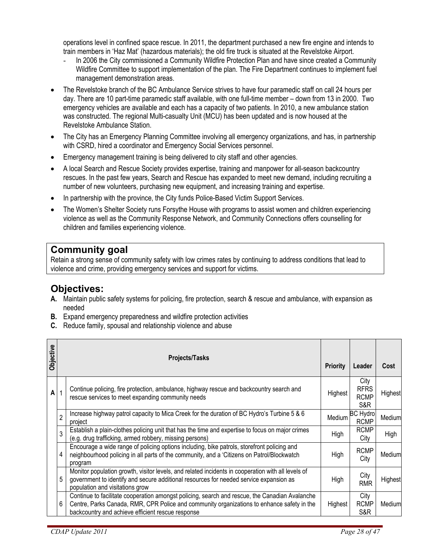operations level in confined space rescue. In 2011, the department purchased a new fire engine and intends to train members in 'Haz Mat' (hazardous materials); the old fire truck is situated at the Revelstoke Airport.

- In 2006 the City commissioned a Community Wildfire Protection Plan and have since created a Community Wildfire Committee to support implementation of the plan. The Fire Department continues to implement fuel management demonstration areas.
- The Revelstoke branch of the BC Ambulance Service strives to have four paramedic staff on call 24 hours per day. There are 10 part-time paramedic staff available, with one full-time member – down from 13 in 2000. Two emergency vehicles are available and each has a capacity of two patients. In 2010, a new ambulance station was constructed. The regional Multi-casualty Unit (MCU) has been updated and is now housed at the Revelstoke Ambulance Station.
- The City has an Emergency Planning Committee involving all emergency organizations, and has, in partnership with CSRD, hired a coordinator and Emergency Social Services personnel.
- Emergency management training is being delivered to city staff and other agencies.
- A local Search and Rescue Society provides expertise, training and manpower for all-season backcountry rescues. In the past few years, Search and Rescue has expanded to meet new demand, including recruiting a number of new volunteers, purchasing new equipment, and increasing training and expertise.
- In partnership with the province, the City funds Police-Based Victim Support Services.
- The Women's Shelter Society runs Forsythe House with programs to assist women and children experiencing violence as well as the Community Response Network, and Community Connections offers counselling for children and families experiencing violence.

## **Community goal**

Retain a strong sense of community safety with low crimes rates by continuing to address conditions that lead to violence and crime, providing emergency services and support for victims.

## **Objectives:**

- **A.** Maintain public safety systems for policing, fire protection, search & rescue and ambulance, with expansion as needed
- **B.** Expand emergency preparedness and wildfire protection activities
- **C.** Reduce family, spousal and relationship violence and abuse

| Objective |                | <b>Projects/Tasks</b>                                                                                                                                                                                                                             | <b>Priority</b> | Leader                                    | Cost    |
|-----------|----------------|---------------------------------------------------------------------------------------------------------------------------------------------------------------------------------------------------------------------------------------------------|-----------------|-------------------------------------------|---------|
| A         | 1              | Continue policing, fire protection, ambulance, highway rescue and backcountry search and<br>rescue services to meet expanding community needs                                                                                                     | Highest         | City<br><b>RFRS</b><br><b>RCMP</b><br>S&R | Highest |
|           | $\overline{2}$ | Increase highway patrol capacity to Mica Creek for the duration of BC Hydro's Turbine 5 & 6<br>project                                                                                                                                            | Medium          | <b>BC Hydro</b><br><b>RCMP</b>            | Medium  |
|           | 3              | Establish a plain-clothes policing unit that has the time and expertise to focus on major crimes<br>(e.g. drug trafficking, armed robbery, missing persons)                                                                                       | High            | <b>RCMP</b><br>City                       | High    |
|           | 4              | Encourage a wide range of policing options including, bike patrols, storefront policing and<br>neighbourhood policing in all parts of the community, and a 'Citizens on Patrol/Blockwatch<br>program                                              | High            | <b>RCMP</b><br>City                       | Medium  |
|           | 5              | Monitor population growth, visitor levels, and related incidents in cooperation with all levels of<br>government to identify and secure additional resources for needed service expansion as<br>population and visitations grow                   | High            | City<br><b>RMR</b>                        | Highest |
|           | 6              | Continue to facilitate cooperation amongst policing, search and rescue, the Canadian Avalanche<br>Centre, Parks Canada, RMR, CPR Police and community organizations to enhance safety in the<br>backcountry and achieve efficient rescue response | Highest         | City<br><b>RCMP</b><br>S&R                | Mediuml |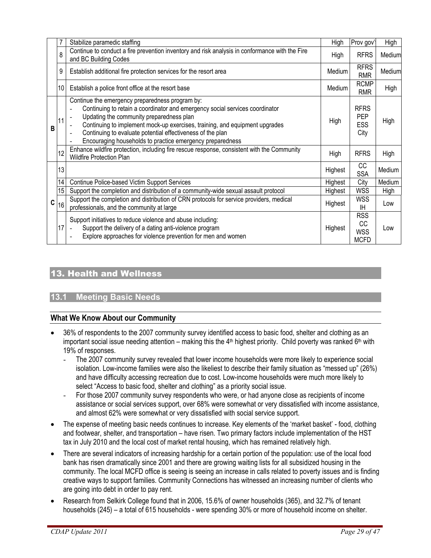|   |                  | Stabilize paramedic staffing                                                                                                                                                                                                                                                                                                                                                          | High    | Prov gov'                                     | High   |
|---|------------------|---------------------------------------------------------------------------------------------------------------------------------------------------------------------------------------------------------------------------------------------------------------------------------------------------------------------------------------------------------------------------------------|---------|-----------------------------------------------|--------|
|   | 8                | Continue to conduct a fire prevention inventory and risk analysis in conformance with the Fire<br>and BC Building Codes                                                                                                                                                                                                                                                               | High    | <b>RFRS</b>                                   | Medium |
|   | 9                | Establish additional fire protection services for the resort area                                                                                                                                                                                                                                                                                                                     | Medium  | <b>RFRS</b><br><b>RMR</b>                     | Medium |
|   | 10 <sup>°</sup>  | Establish a police front office at the resort base                                                                                                                                                                                                                                                                                                                                    | Medium  | <b>RCMP</b><br><b>RMR</b>                     | High   |
| в | 11               | Continue the emergency preparedness program by:<br>Continuing to retain a coordinator and emergency social services coordinator<br>Updating the community preparedness plan<br>Continuing to implement mock-up exercises, training, and equipment upgrades<br>Continuing to evaluate potential effectiveness of the plan<br>Encouraging households to practice emergency preparedness | High    | <b>RFRS</b><br><b>PEP</b><br>ESS<br>City      | High   |
|   | 12               | Enhance wildfire protection, including fire rescue response, consistent with the Community<br>Wildfire Protection Plan                                                                                                                                                                                                                                                                | High    | <b>RFRS</b>                                   | High   |
|   | 13               |                                                                                                                                                                                                                                                                                                                                                                                       | Highest | CC<br><b>SSA</b>                              | Medium |
|   | 14               | Continue Police-based Victim Support Services                                                                                                                                                                                                                                                                                                                                         | Highest | City                                          | Medium |
|   | 15 <sup>15</sup> | Support the completion and distribution of a community-wide sexual assault protocol                                                                                                                                                                                                                                                                                                   | Highest | <b>WSS</b>                                    | High   |
| C | 16               | Support the completion and distribution of CRN protocols for service providers, medical<br>professionals, and the community at large                                                                                                                                                                                                                                                  | Highest | <b>WSS</b><br>ΙH                              | Low    |
|   | 17               | Support initiatives to reduce violence and abuse including:<br>Support the delivery of a dating anti-violence program<br>$\blacksquare$<br>Explore approaches for violence prevention for men and women                                                                                                                                                                               | Highest | <b>RSS</b><br>СC<br><b>WSS</b><br><b>MCFD</b> | Low    |

## 13. Health and Wellness

#### **13.1 Meeting Basic Needs**

#### **What We Know About our Community**

- 36% of respondents to the 2007 community survey identified access to basic food, shelter and clothing as an important social issue needing attention – making this the  $4<sup>th</sup>$  highest priority. Child poverty was ranked  $6<sup>th</sup>$  with 19% of responses.
	- The 2007 community survey revealed that lower income households were more likely to experience social isolation. Low-income families were also the likeliest to describe their family situation as "messed up" (26%) and have difficulty accessing recreation due to cost. Low-income households were much more likely to select "Access to basic food, shelter and clothing" as a priority social issue.
	- For those 2007 community survey respondents who were, or had anyone close as recipients of income assistance or social services support, over 68% were somewhat or very dissatisfied with income assistance, and almost 62% were somewhat or very dissatisfied with social service support.
- The expense of meeting basic needs continues to increase. Key elements of the 'market basket' food, clothing and footwear, shelter, and transportation – have risen. Two primary factors include implementation of the HST tax in July 2010 and the local cost of market rental housing, which has remained relatively high.
- There are several indicators of increasing hardship for a certain portion of the population: use of the local food bank has risen dramatically since 2001 and there are growing waiting lists for all subsidized housing in the community. The local MCFD office is seeing is seeing an increase in calls related to poverty issues and is finding creative ways to support families. Community Connections has witnessed an increasing number of clients who are going into debt in order to pay rent.
- Research from Selkirk College found that in 2006, 15.6% of owner households (365), and 32.7% of tenant households (245) – a total of 615 households - were spending 30% or more of household income on shelter.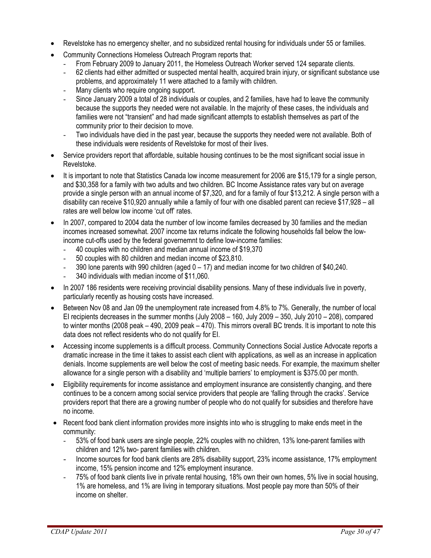- Revelstoke has no emergency shelter, and no subsidized rental housing for individuals under 55 or families.
- Community Connections Homeless Outreach Program reports that:
	- From February 2009 to January 2011, the Homeless Outreach Worker served 124 separate clients.
	- 62 clients had either admitted or suspected mental health, acquired brain injury, or significant substance use problems, and approximately 11 were attached to a family with children.
	- Many clients who require ongoing support.
	- Since January 2009 a total of 28 individuals or couples, and 2 families, have had to leave the community because the supports they needed were not available. In the majority of these cases, the individuals and families were not "transient" and had made significant attempts to establish themselves as part of the community prior to their decision to move.
	- Two individuals have died in the past year, because the supports they needed were not available. Both of these individuals were residents of Revelstoke for most of their lives.
- Service providers report that affordable, suitable housing continues to be the most significant social issue in Revelstoke.
- It is important to note that Statistics Canada low income measurement for 2006 are \$15,179 for a single person, and \$30,358 for a family with two adults and two children. BC Income Assistance rates vary but on average provide a single person with an annual income of \$7,320, and for a family of four \$13,212. A single person with a disability can receive \$10,920 annually while a family of four with one disabled parent can recieve \$17,928 – all rates are well below low income 'cut off' rates.
- In 2007, compared to 2004 data the number of low income familes decreased by 30 families and the median incomes increased somewhat. 2007 income tax returns indicate the following households fall below the lowincome cut-offs used by the federal governemnt to define low-income families:
	- 40 couples with no children and median annual income of \$19,370
	- 50 couples with 80 children and median income of \$23,810.
	- 390 lone parents with 990 children (aged  $0 17$ ) and median income for two children of \$40,240.
	- 340 individuals with median income of \$11,060.
- In 2007 186 residents were receiving provincial disability pensions. Many of these individuals live in poverty, particularly recently as housing costs have increased.
- Between Nov 08 and Jan 09 the unemployment rate increased from 4.8% to 7%. Generally, the number of local EI recipients decreases in the summer months (July 2008 – 160, July 2009 – 350, July 2010 – 208), compared to winter months (2008 peak – 490, 2009 peak – 470). This mirrors overall BC trends. It is important to note this data does not reflect residents who do not qualify for EI.
- Accessing income supplements is a difficult process. Community Connections Social Justice Advocate reports a dramatic increase in the time it takes to assist each client with applications, as well as an increase in application denials. Income supplements are well below the cost of meeting basic needs. For example, the maximum shelter allowance for a single person with a disability and 'multiple barriers' to employment is \$375.00 per month.
- Eligibility requirements for income assistance and employment insurance are consistently changing, and there continues to be a concern among social service providers that people are 'falling through the cracks'. Service providers report that there are a growing number of people who do not qualify for subsidies and therefore have no income.
- Recent food bank client information provides more insights into who is struggling to make ends meet in the community:
	- 53% of food bank users are single people, 22% couples with no children, 13% lone-parent families with children and 12% two- parent families with children.
	- Income sources for food bank clients are 28% disability support, 23% income assistance, 17% employment income, 15% pension income and 12% employment insurance.
	- 75% of food bank clients live in private rental housing, 18% own their own homes, 5% live in social housing, 1% are homeless, and 1% are living in temporary situations. Most people pay more than 50% of their income on shelter.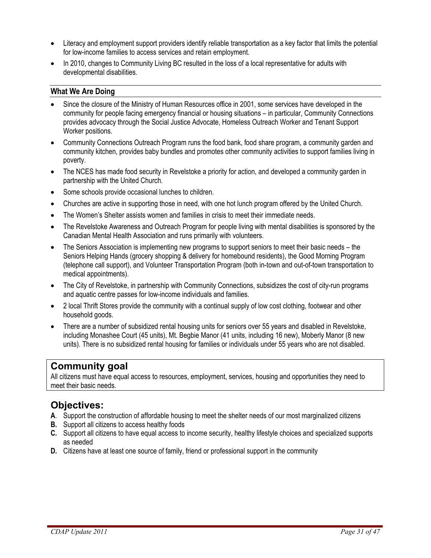- Literacy and employment support providers identify reliable transportation as a key factor that limits the potential for low-income families to access services and retain employment.
- In 2010, changes to Community Living BC resulted in the loss of a local representative for adults with developmental disabilities.

#### **What We Are Doing**

- Since the closure of the Ministry of Human Resources office in 2001, some services have developed in the community for people facing emergency financial or housing situations – in particular, Community Connections provides advocacy through the Social Justice Advocate, Homeless Outreach Worker and Tenant Support Worker positions.
- Community Connections Outreach Program runs the food bank, food share program, a community garden and community kitchen, provides baby bundles and promotes other community activities to support families living in poverty.
- The NCES has made food security in Revelstoke a priority for action, and developed a community garden in partnership with the United Church.
- Some schools provide occasional lunches to children.
- Churches are active in supporting those in need, with one hot lunch program offered by the United Church.
- The Women's Shelter assists women and families in crisis to meet their immediate needs.
- The Revelstoke Awareness and Outreach Program for people living with mental disabilities is sponsored by the Canadian Mental Health Association and runs primarily with volunteers.
- The Seniors Association is implementing new programs to support seniors to meet their basic needs the Seniors Helping Hands (grocery shopping & delivery for homebound residents), the Good Morning Program (telephone call support), and Volunteer Transportation Program (both in-town and out-of-town transportation to medical appointments).
- The City of Revelstoke, in partnership with Community Connections, subsidizes the cost of city-run programs and aquatic centre passes for low-income individuals and families.
- 2 local Thrift Stores provide the community with a continual supply of low cost clothing, footwear and other household goods.
- There are a number of subsidized rental housing units for seniors over 55 years and disabled in Revelstoke, including Monashee Court (45 units), Mt. Begbie Manor (41 units, including 16 new), Moberly Manor (8 new units). There is no subsidized rental housing for families or individuals under 55 years who are not disabled.

## **Community goal**

All citizens must have equal access to resources, employment, services, housing and opportunities they need to meet their basic needs.

## **Objectives:**

- **A**. Support the construction of affordable housing to meet the shelter needs of our most marginalized citizens
- **B.** Support all citizens to access healthy foods
- **C.** Support all citizens to have equal access to income security, healthy lifestyle choices and specialized supports as needed
- **D.** Citizens have at least one source of family, friend or professional support in the community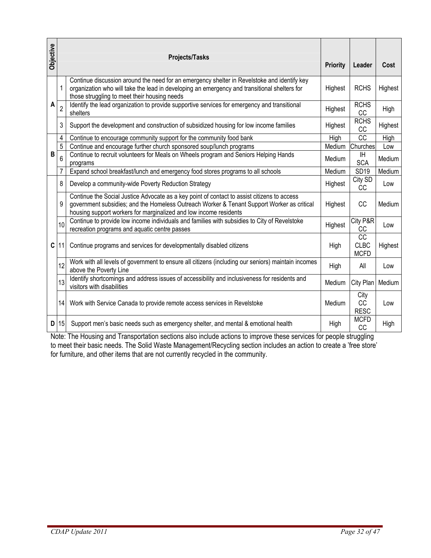| Objective                                                                                                                                                                                                                                                                                                                     |                                   | Projects/Tasks                                                                                                                                                                                                                                                 | <b>Priority</b> | Leader                           | Cost    |  |
|-------------------------------------------------------------------------------------------------------------------------------------------------------------------------------------------------------------------------------------------------------------------------------------------------------------------------------|-----------------------------------|----------------------------------------------------------------------------------------------------------------------------------------------------------------------------------------------------------------------------------------------------------------|-----------------|----------------------------------|---------|--|
|                                                                                                                                                                                                                                                                                                                               | 1                                 | Continue discussion around the need for an emergency shelter in Revelstoke and identify key<br>organization who will take the lead in developing an emergency and transitional shelters for<br>those struggling to meet their housing needs                    | Highest         | <b>RCHS</b>                      | Highest |  |
| A                                                                                                                                                                                                                                                                                                                             | $\overline{2}$                    | Identify the lead organization to provide supportive services for emergency and transitional<br>shelters                                                                                                                                                       | Highest         | <b>RCHS</b><br>CC                | High    |  |
|                                                                                                                                                                                                                                                                                                                               | 3                                 | Support the development and construction of subsidized housing for low income families                                                                                                                                                                         | Highest         | <b>RCHS</b><br>CC                | Highest |  |
|                                                                                                                                                                                                                                                                                                                               | 4                                 | Continue to encourage community support for the community food bank                                                                                                                                                                                            | High            | $\overline{cc}$                  | High    |  |
|                                                                                                                                                                                                                                                                                                                               | 5                                 | Continue and encourage further church sponsored soup/lunch programs                                                                                                                                                                                            | Medium          | Churches                         | Low     |  |
| B                                                                                                                                                                                                                                                                                                                             | 6                                 | Continue to recruit volunteers for Meals on Wheels program and Seniors Helping Hands<br>programs                                                                                                                                                               | Medium          | ΙH<br><b>SCA</b>                 | Medium  |  |
|                                                                                                                                                                                                                                                                                                                               | 7                                 | Expand school breakfast/lunch and emergency food stores programs to all schools                                                                                                                                                                                | Medium          | <b>SD19</b>                      | Medium  |  |
|                                                                                                                                                                                                                                                                                                                               | 8                                 | Develop a community-wide Poverty Reduction Strategy                                                                                                                                                                                                            | Highest         | City SD<br>CC                    | Low     |  |
|                                                                                                                                                                                                                                                                                                                               | 9                                 | Continue the Social Justice Advocate as a key point of contact to assist citizens to access<br>government subsidies; and the Homeless Outreach Worker & Tenant Support Worker as critical<br>housing support workers for marginalized and low income residents | Highest         | CC                               | Medium  |  |
|                                                                                                                                                                                                                                                                                                                               | 10                                | Continue to provide low income individuals and families with subsidies to City of Revelstoke<br>recreation programs and aquatic centre passes                                                                                                                  | Highest         | City P&R<br>CC                   | Low     |  |
| C                                                                                                                                                                                                                                                                                                                             | 11                                | Continue programs and services for developmentally disabled citizens                                                                                                                                                                                           | High            | CC<br><b>CLBC</b><br><b>MCFD</b> | Highest |  |
|                                                                                                                                                                                                                                                                                                                               | 12                                | Work with all levels of government to ensure all citizens (including our seniors) maintain incomes<br>above the Poverty Line                                                                                                                                   | High            | All                              | Low     |  |
|                                                                                                                                                                                                                                                                                                                               | 13                                | Identify shortcomings and address issues of accessibility and inclusiveness for residents and<br>visitors with disabilities                                                                                                                                    | Medium          | City Plan                        | Medium  |  |
|                                                                                                                                                                                                                                                                                                                               | 14                                | Work with Service Canada to provide remote access services in Revelstoke                                                                                                                                                                                       | Medium          | City<br>CC<br><b>RESC</b>        | Low     |  |
| D                                                                                                                                                                                                                                                                                                                             | 15                                | Support men's basic needs such as emergency shelter, and mental & emotional health                                                                                                                                                                             | High            | <b>MCFD</b><br><b>CC</b>         | High    |  |
| Note: The Housing and Transportation sections also include actions to improve these services for people struggling<br>to meet their basic needs. The Solid Waste Management/Recycling section includes an action to create a 'free store'<br>for furniture, and other items that are not currently recycled in the community. |                                   |                                                                                                                                                                                                                                                                |                 |                                  |         |  |
|                                                                                                                                                                                                                                                                                                                               | CDAP Update 2011<br>Page 32 of 47 |                                                                                                                                                                                                                                                                |                 |                                  |         |  |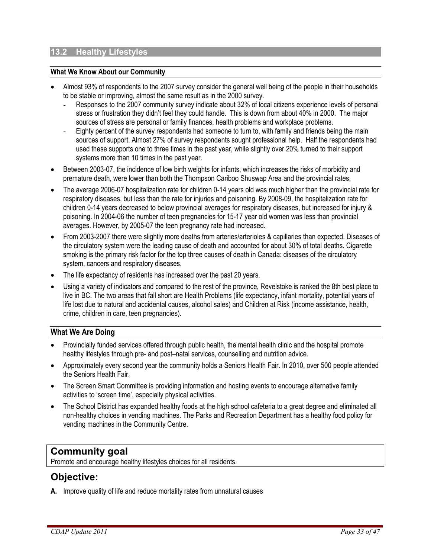#### **13.2 Healthy Lifestyles**

#### **What We Know About our Community**

- Almost 93% of respondents to the 2007 survey consider the general well being of the people in their households to be stable or improving, almost the same result as in the 2000 survey.
	- Responses to the 2007 community survey indicate about 32% of local citizens experience levels of personal stress or frustration they didn't feel they could handle. This is down from about 40% in 2000. The major sources of stress are personal or family finances, health problems and workplace problems.
	- Eighty percent of the survey respondents had someone to turn to, with family and friends being the main sources of support. Almost 27% of survey respondents sought professional help. Half the respondents had used these supports one to three times in the past year, while slightly over 20% turned to their support systems more than 10 times in the past year.
- Between 2003-07, the incidence of low birth weights for infants, which increases the risks of morbidity and premature death, were lower than both the Thompson Cariboo Shuswap Area and the provincial rates,
- The average 2006-07 hospitalization rate for children 0-14 years old was much higher than the provincial rate for respiratory diseases, but less than the rate for injuries and poisoning. By 2008-09, the hospitalization rate for children 0-14 years decreased to below provincial averages for respiratory diseases, but increased for injury & poisoning. In 2004-06 the number of teen pregnancies for 15-17 year old women was less than provincial averages. However, by 2005-07 the teen pregnancy rate had increased.
- From 2003-2007 there were slightly more deaths from arteries/arterioles & capillaries than expected. Diseases of the circulatory system were the leading cause of death and accounted for about 30% of total deaths. Cigarette smoking is the primary risk factor for the top three causes of death in Canada: diseases of the circulatory system, cancers and respiratory diseases.
- The life expectancy of residents has increased over the past 20 years.
- Using a variety of indicators and compared to the rest of the province, Revelstoke is ranked the 8th best place to live in BC. The two areas that fall short are Health Problems (life expectancy, infant mortality, potential years of life lost due to natural and accidental causes, alcohol sales) and Children at Risk (income assistance, health, crime, children in care, teen pregnancies).

#### **What We Are Doing**

- Provincially funded services offered through public health, the mental health clinic and the hospital promote healthy lifestyles through pre- and post–natal services, counselling and nutrition advice.
- Approximately every second year the community holds a Seniors Health Fair. In 2010, over 500 people attended the Seniors Health Fair.
- The Screen Smart Committee is providing information and hosting events to encourage alternative family activities to 'screen time', especially physical activities.
- The School District has expanded healthy foods at the high school cafeteria to a great degree and eliminated all non-healthy choices in vending machines. The Parks and Recreation Department has a healthy food policy for vending machines in the Community Centre.

## **Community goal**

Promote and encourage healthy lifestyles choices for all residents.

## **Objective:**

**A.** Improve quality of life and reduce mortality rates from unnatural causes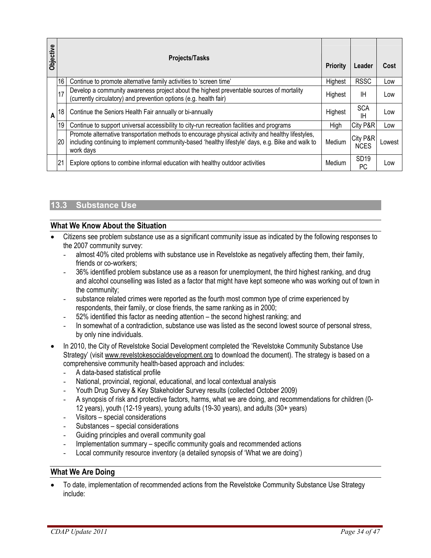| A                | 16<br>17<br>18<br>19                                                                                                                                                                                                                                                                                                                                                                                                                                                                                                                                                                                                                                                                                                                                                                                                                                                                                                                                                                                                                                                   | Continue to promote alternative family activities to 'screen time'<br>Develop a community awareness project about the highest preventable sources of mortality<br>(currently circulatory) and prevention options (e.g. health fair) | Highest | <b>RSSC</b>             |        |  |  |
|------------------|------------------------------------------------------------------------------------------------------------------------------------------------------------------------------------------------------------------------------------------------------------------------------------------------------------------------------------------------------------------------------------------------------------------------------------------------------------------------------------------------------------------------------------------------------------------------------------------------------------------------------------------------------------------------------------------------------------------------------------------------------------------------------------------------------------------------------------------------------------------------------------------------------------------------------------------------------------------------------------------------------------------------------------------------------------------------|-------------------------------------------------------------------------------------------------------------------------------------------------------------------------------------------------------------------------------------|---------|-------------------------|--------|--|--|
|                  |                                                                                                                                                                                                                                                                                                                                                                                                                                                                                                                                                                                                                                                                                                                                                                                                                                                                                                                                                                                                                                                                        |                                                                                                                                                                                                                                     |         |                         | Low    |  |  |
|                  |                                                                                                                                                                                                                                                                                                                                                                                                                                                                                                                                                                                                                                                                                                                                                                                                                                                                                                                                                                                                                                                                        |                                                                                                                                                                                                                                     | Highest | ΙH                      | Low    |  |  |
|                  |                                                                                                                                                                                                                                                                                                                                                                                                                                                                                                                                                                                                                                                                                                                                                                                                                                                                                                                                                                                                                                                                        | Continue the Seniors Health Fair annually or bi-annually                                                                                                                                                                            | Highest | <b>SCA</b><br>IH.       | Low    |  |  |
|                  |                                                                                                                                                                                                                                                                                                                                                                                                                                                                                                                                                                                                                                                                                                                                                                                                                                                                                                                                                                                                                                                                        | Continue to support universal accessibility to city-run recreation facilities and programs                                                                                                                                          | High    | City P&R                | Low    |  |  |
|                  | 20                                                                                                                                                                                                                                                                                                                                                                                                                                                                                                                                                                                                                                                                                                                                                                                                                                                                                                                                                                                                                                                                     | Promote alternative transportation methods to encourage physical activity and healthy lifestyles,<br>including continuing to implement community-based 'healthy lifestyle' days, e.g. Bike and walk to<br>work days                 | Medium  | City P&R<br><b>NCES</b> | Lowest |  |  |
|                  | 21                                                                                                                                                                                                                                                                                                                                                                                                                                                                                                                                                                                                                                                                                                                                                                                                                                                                                                                                                                                                                                                                     | Explore options to combine informal education with healthy outdoor activities                                                                                                                                                       | Medium  | SD <sub>19</sub><br>PC  | Low    |  |  |
|                  | <b>Substance Use</b><br>13.3<br><b>What We Know About the Situation</b><br>Citizens see problem substance use as a significant community issue as indicated by the following responses to                                                                                                                                                                                                                                                                                                                                                                                                                                                                                                                                                                                                                                                                                                                                                                                                                                                                              |                                                                                                                                                                                                                                     |         |                         |        |  |  |
|                  | the 2007 community survey:<br>almost 40% cited problems with substance use in Revelstoke as negatively affecting them, their family,<br>friends or co-workers;<br>36% identified problem substance use as a reason for unemployment, the third highest ranking, and drug<br>and alcohol counselling was listed as a factor that might have kept someone who was working out of town in<br>the community;<br>substance related crimes were reported as the fourth most common type of crime experienced by<br>$\overline{\phantom{a}}$<br>respondents, their family, or close friends, the same ranking as in 2000;<br>52% identified this factor as needing attention - the second highest ranking; and<br>In somewhat of a contradiction, substance use was listed as the second lowest source of personal stress,<br>by only nine individuals.<br>In 2010, the City of Revelstoke Social Development completed the 'Revelstoke Community Substance Use<br>Strategy' (visit www.revelstokesocialdevelopment.org to download the document). The strategy is based on a |                                                                                                                                                                                                                                     |         |                         |        |  |  |
|                  | comprehensive community health-based approach and includes:<br>A data-based statistical profile<br>National, provincial, regional, educational, and local contextual analysis<br>Youth Drug Survey & Key Stakeholder Survey results (collected October 2009)<br>A synopsis of risk and protective factors, harms, what we are doing, and recommendations for children (0-<br>12 years), youth (12-19 years), young adults (19-30 years), and adults (30+ years)<br>Visitors - special considerations<br>$\overline{\phantom{a}}$<br>Substances - special considerations<br>$\overline{\phantom{a}}$<br>Guiding principles and overall community goal<br>Implementation summary – specific community goals and recommended actions<br>Local community resource inventory (a detailed synopsis of 'What we are doing')                                                                                                                                                                                                                                                   |                                                                                                                                                                                                                                     |         |                         |        |  |  |
|                  |                                                                                                                                                                                                                                                                                                                                                                                                                                                                                                                                                                                                                                                                                                                                                                                                                                                                                                                                                                                                                                                                        | <b>What We Are Doing</b>                                                                                                                                                                                                            |         |                         |        |  |  |
| CDAP Update 2011 |                                                                                                                                                                                                                                                                                                                                                                                                                                                                                                                                                                                                                                                                                                                                                                                                                                                                                                                                                                                                                                                                        | To date, implementation of recommended actions from the Revelstoke Community Substance Use Strategy<br>include:                                                                                                                     |         |                         |        |  |  |

## **13.3 Substance Use**

#### **What We Know About the Situation**

- Citizens see problem substance use as a significant community issue as indicated by the following responses to the 2007 community survey:
	- almost 40% cited problems with substance use in Revelstoke as negatively affecting them, their family, friends or co-workers;
	- 36% identified problem substance use as a reason for unemployment, the third highest ranking, and drug and alcohol counselling was listed as a factor that might have kept someone who was working out of town in the community;
	- substance related crimes were reported as the fourth most common type of crime experienced by respondents, their family, or close friends, the same ranking as in 2000;
	- 52% identified this factor as needing attention the second highest ranking; and
	- In somewhat of a contradiction, substance use was listed as the second lowest source of personal stress, by only nine individuals.
- In 2010, the City of Revelstoke Social Development completed the 'Revelstoke Community Substance Use Strategy' (visit www.revelstokesocialdevelopment.org to download the document). The strategy is based on a comprehensive community health-based approach and includes:
	- A data-based statistical profile
	- National, provincial, regional, educational, and local contextual analysis
	- Youth Drug Survey & Key Stakeholder Survey results (collected October 2009)
	- A synopsis of risk and protective factors, harms, what we are doing, and recommendations for children (0- 12 years), youth (12-19 years), young adults (19-30 years), and adults (30+ years)
	- Visitors special considerations
	- Substances special considerations
	- Guiding principles and overall community goal
	- Implementation summary specific community goals and recommended actions
	- Local community resource inventory (a detailed synopsis of 'What we are doing')

#### **What We Are Doing**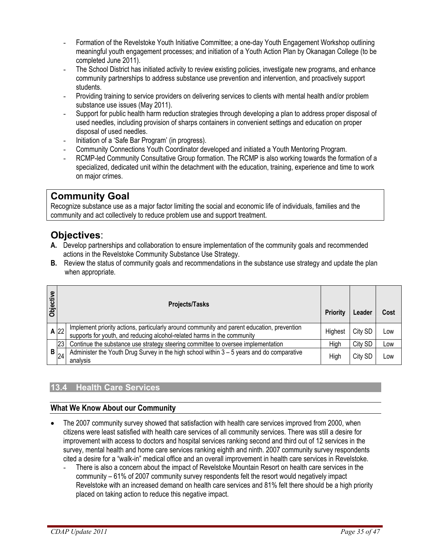- Formation of the Revelstoke Youth Initiative Committee; a one-day Youth Engagement Workshop outlining meaningful youth engagement processes; and initiation of a Youth Action Plan by Okanagan College (to be completed June 2011).
- The School District has initiated activity to review existing policies, investigate new programs, and enhance community partnerships to address substance use prevention and intervention, and proactively support students.
- Providing training to service providers on delivering services to clients with mental health and/or problem substance use issues (May 2011).
- Support for public health harm reduction strategies through developing a plan to address proper disposal of used needles, including provision of sharps containers in convenient settings and education on proper disposal of used needles.
- Initiation of a 'Safe Bar Program' (in progress).
- Community Connections Youth Coordinator developed and initiated a Youth Mentoring Program.
- RCMP-led Community Consultative Group formation. The RCMP is also working towards the formation of a specialized, dedicated unit within the detachment with the education, training, experience and time to work on major crimes.

## **Community Goal**

Recognize substance use as a major factor limiting the social and economic life of individuals, families and the community and act collectively to reduce problem use and support treatment.

## **Objectives**:

- **A.** Develop partnerships and collaboration to ensure implementation of the community goals and recommended actions in the Revelstoke Community Substance Use Strategy.
- **B.** Review the status of community goals and recommendations in the substance use strategy and update the plan when appropriate.

| Objective | <b>Projects/Tasks</b> |                                                                                                                                                                       | Priority | Leader  | Cost |
|-----------|-----------------------|-----------------------------------------------------------------------------------------------------------------------------------------------------------------------|----------|---------|------|
|           | $A$ 22                | Implement priority actions, particularly around community and parent education, prevention<br>supports for youth, and reducing alcohol-related harms in the community | Highest  | City SD | Low  |
|           | 23                    | Continue the substance use strategy steering committee to oversee implementation                                                                                      | High     | City SD | Low  |
| B         | 24                    | Administer the Youth Drug Survey in the high school within 3 – 5 years and do comparative<br>analysis                                                                 | High     | City SD | Low  |

#### **13.4 Health Care Services**

#### **What We Know About our Community**

- The 2007 community survey showed that satisfaction with health care services improved from 2000, when citizens were least satisfied with health care services of all community services. There was still a desire for improvement with access to doctors and hospital services ranking second and third out of 12 services in the survey, mental health and home care services ranking eighth and ninth. 2007 community survey respondents cited a desire for a "walk-in" medical office and an overall improvement in health care services in Revelstoke.
	- There is also a concern about the impact of Revelstoke Mountain Resort on health care services in the community – 61% of 2007 community survey respondents felt the resort would negatively impact Revelstoke with an increased demand on health care services and 81% felt there should be a high priority placed on taking action to reduce this negative impact.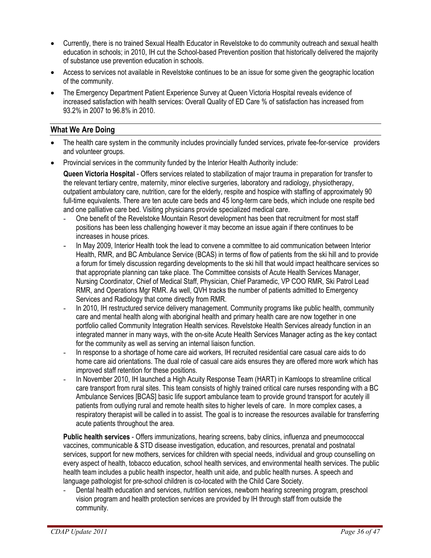- Currently, there is no trained Sexual Health Educator in Revelstoke to do community outreach and sexual health education in schools; in 2010, IH cut the School-based Prevention position that historically delivered the majority of substance use prevention education in schools.
- Access to services not available in Revelstoke continues to be an issue for some given the geographic location of the community.
- The Emergency Department Patient Experience Survey at Queen Victoria Hospital reveals evidence of increased satisfaction with health services: Overall Quality of ED Care % of satisfaction has increased from 93.2% in 2007 to 96.8% in 2010.

#### **What We Are Doing**

- The health care system in the community includes provincially funded services, private fee-for-service providers and volunteer groups.
- Provincial services in the community funded by the Interior Health Authority include:

**Queen Victoria Hospital** - Offers services related to stabilization of major trauma in preparation for transfer to the relevant tertiary centre, maternity, minor elective surgeries, laboratory and radiology, physiotherapy, outpatient ambulatory care, nutrition, care for the elderly, respite and hospice with staffing of approximately 90 full-time equivalents. There are ten acute care beds and 45 long-term care beds, which include one respite bed and one palliative care bed. Visiting physicians provide specialized medical care.

- One benefit of the Revelstoke Mountain Resort development has been that recruitment for most staff positions has been less challenging however it may become an issue again if there continues to be increases in house prices.
- In May 2009, Interior Health took the lead to convene a committee to aid communication between Interior Health, RMR, and BC Ambulance Service (BCAS) in terms of flow of patients from the ski hill and to provide a forum for timely discussion regarding developments to the ski hill that would impact healthcare services so that appropriate planning can take place. The Committee consists of Acute Health Services Manager, Nursing Coordinator, Chief of Medical Staff, Physician, Chief Paramedic, VP COO RMR, Ski Patrol Lead RMR, and Operations Mgr RMR. As well, QVH tracks the number of patients admitted to Emergency Services and Radiology that come directly from RMR.
- In 2010, IH restructured service delivery management. Community programs like public health, community care and mental health along with aboriginal health and primary health care are now together in one portfolio called Community Integration Health services. Revelstoke Health Services already function in an integrated manner in many ways, with the on-site Acute Health Services Manager acting as the key contact for the community as well as serving an internal liaison function.
- In response to a shortage of home care aid workers, IH recruited residential care casual care aids to do home care aid orientations. The dual role of casual care aids ensures they are offered more work which has improved staff retention for these positions.
- In November 2010, IH launched a High Acuity Response Team (HART) in Kamloops to streamline critical care transport from rural sites. This team consists of highly trained critical care nurses responding with a BC Ambulance Services [BCAS] basic life support ambulance team to provide ground transport for acutely ill patients from outlying rural and remote health sites to higher levels of care. In more complex cases, a respiratory therapist will be called in to assist. The goal is to increase the resources available for transferring acute patients throughout the area.

**Public health services** - Offers immunizations, hearing screens, baby clinics, influenza and pneumococcal vaccines, communicable & STD disease investigation, education, and resources, prenatal and postnatal services, support for new mothers, services for children with special needs, individual and group counselling on every aspect of health, tobacco education, school health services, and environmental health services. The public health team includes a public health inspector, health unit aide, and public health nurses. A speech and language pathologist for pre-school children is co-located with the Child Care Society.

Dental health education and services, nutrition services, newborn hearing screening program, preschool vision program and health protection services are provided by IH through staff from outside the community.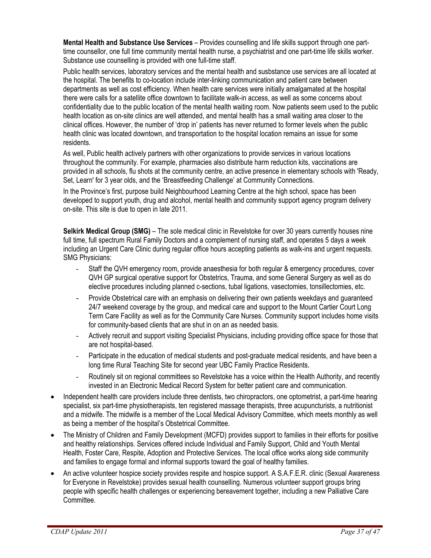**Mental Health and Substance Use Services** – Provides counselling and life skills support through one parttime counsellor, one full time community mental health nurse, a psychiatrist and one part-time life skills worker. Substance use counselling is provided with one full-time staff.

Public health services, laboratory services and the mental health and susbstance use services are all located at the hospital. The benefits to co-location include inter-linking communication and patient care between departments as well as cost efficiency. When health care services were initially amalgamated at the hospital there were calls for a satellite office downtown to facilitate walk-in access, as well as some concerns about confidentiality due to the public location of the mental health waiting room. Now patients seem used to the public health location as on-site clinics are well attended, and mental health has a small waiting area closer to the clinical offices. However, the number of 'drop in' patients has never returned to former levels when the public health clinic was located downtown, and transportation to the hospital location remains an issue for some residents.

As well, Public health actively partners with other organizations to provide services in various locations throughout the community. For example, pharmacies also distribute harm reduction kits, vaccinations are provided in all schools, flu shots at the community centre, an active presence in elementary schools with 'Ready, Set, Learn' for 3 year olds, and the 'Breastfeeding Challenge' at Community Connections.

In the Province's first, purpose build Neighbourhood Learning Centre at the high school, space has been developed to support youth, drug and alcohol, mental health and community support agency program delivery on-site. This site is due to open in late 2011.

**Selkirk Medical Group (SMG)** – The sole medical clinic in Revelstoke for over 30 years currently houses nine full time, full spectrum Rural Family Doctors and a complement of nursing staff, and operates 5 days a week including an Urgent Care Clinic during regular office hours accepting patients as walk-ins and urgent requests. SMG Physicians:

- Staff the QVH emergency room, provide anaesthesia for both regular & emergency procedures, cover QVH GP surgical operative support for Obstetrics, Trauma, and some General Surgery as well as do elective procedures including planned c-sections, tubal ligations, vasectomies, tonsillectomies, etc.
- Provide Obstetrical care with an emphasis on delivering their own patients weekdays and guaranteed 24/7 weekend coverage by the group, and medical care and support to the Mount Cartier Court Long Term Care Facility as well as for the Community Care Nurses. Community support includes home visits for community-based clients that are shut in on an as needed basis.
- Actively recruit and support visiting Specialist Physicians, including providing office space for those that are not hospital-based.
- Participate in the education of medical students and post-graduate medical residents, and have been a long time Rural Teaching Site for second year UBC Family Practice Residents.
- Routinely sit on regional committees so Revelstoke has a voice within the Health Authority, and recently invested in an Electronic Medical Record System for better patient care and communication.
- Independent health care providers include three dentists, two chiropractors, one optometrist, a part-time hearing specialist, six part-time physiotherapists, ten registered massage therapists, three acupuncturists, a nutritionist and a midwife. The midwife is a member of the Local Medical Advisory Committee, which meets monthly as well as being a member of the hospital's Obstetrical Committee.
- The Ministry of Children and Family Development (MCFD) provides support to families in their efforts for positive and healthy relationships. Services offered include Individual and Family Support, Child and Youth Mental Health, Foster Care, Respite, Adoption and Protective Services. The local office works along side community and families to engage formal and informal supports toward the goal of healthy families.
- An active volunteer hospice society provides respite and hospice support. A S.A.F.E.R. clinic (Sexual Awareness for Everyone in Revelstoke) provides sexual health counselling. Numerous volunteer support groups bring people with specific health challenges or experiencing bereavement together, including a new Palliative Care Committee.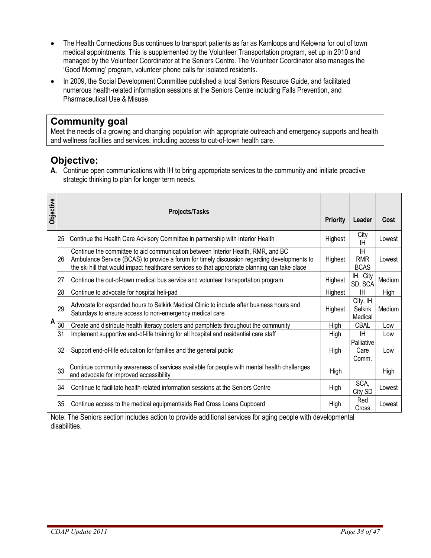- The Health Connections Bus continues to transport patients as far as Kamloops and Kelowna for out of town medical appointments. This is supplemented by the Volunteer Transportation program, set up in 2010 and managed by the Volunteer Coordinator at the Seniors Centre. The Volunteer Coordinator also manages the 'Good Morning' program, volunteer phone calls for isolated residents.
- In 2009, the Social Development Committee published a local Seniors Resource Guide, and facilitated numerous health-related information sessions at the Seniors Centre including Falls Prevention, and Pharmaceutical Use & Misuse.

## **Community goal**

Meet the needs of a growing and changing population with appropriate outreach and emergency supports and health and wellness facilities and services, including access to out-of-town health care.

## **Objective:**

**A.** Continue open communications with IH to bring appropriate services to the community and initiate proactive strategic thinking to plan for longer term needs.

| Objective    |                 | <b>Projects/Tasks</b>                                                                                                                                                                                                                                                             | <b>Priority</b> | Leader                                 | Cost   |
|--------------|-----------------|-----------------------------------------------------------------------------------------------------------------------------------------------------------------------------------------------------------------------------------------------------------------------------------|-----------------|----------------------------------------|--------|
|              | 25              | Continue the Health Care Advisory Committee in partnership with Interior Health                                                                                                                                                                                                   | Highest         | City<br>ΙH                             | Lowest |
|              | 26              | Continue the committee to aid communication between Interior Health, RMR, and BC<br>Ambulance Service (BCAS) to provide a forum for timely discussion regarding developments to<br>the ski hill that would impact healthcare services so that appropriate planning can take place | Highest         | <b>IH</b><br><b>RMR</b><br><b>BCAS</b> | Lowest |
|              | 27              | Continue the out-of-town medical bus service and volunteer transportation program                                                                                                                                                                                                 | Highest         | IH, City<br>SD, SCA                    | Medium |
|              | 28              | Continue to advocate for hospital heli-pad                                                                                                                                                                                                                                        | Highest         | IH                                     | High   |
|              | 29              | Advocate for expanded hours to Selkirk Medical Clinic to include after business hours and<br>Saturdays to ensure access to non-emergency medical care                                                                                                                             | Highest         | City, IH<br>Selkirk<br>Medical         | Medium |
| $\mathsf{A}$ | $\overline{30}$ | Create and distribute health literacy posters and pamphlets throughout the community                                                                                                                                                                                              | High            | <b>CBAL</b>                            | Low    |
|              | 31              | Implement supportive end-of-life training for all hospital and residential care staff                                                                                                                                                                                             | High            | ΙH                                     | Low    |
|              | 32              | Support end-of-life education for families and the general public                                                                                                                                                                                                                 | High            | Palliative<br>Care<br>Comm.            | Low    |
|              | 33              | Continue community awareness of services available for people with mental health challenges<br>and advocate for improved accessibility                                                                                                                                            | High            |                                        | High   |
|              | 34              | Continue to facilitate health-related information sessions at the Seniors Centre                                                                                                                                                                                                  | High            | SCA,<br>City SD                        | Lowest |
|              | 35              | Continue access to the medical equipment/aids Red Cross Loans Cupboard                                                                                                                                                                                                            | High            | Red<br>Cross                           | Lowest |

Note: The Seniors section includes action to provide additional services for aging people with developmental disabilities.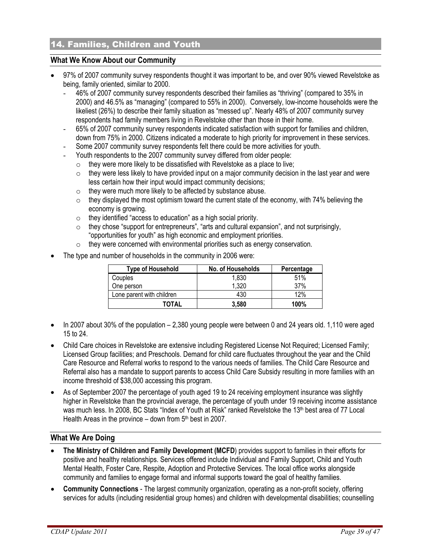## 14. Families, Children and Youth

#### **What We Know About our Community**

- 97% of 2007 community survey respondents thought it was important to be, and over 90% viewed Revelstoke as being, family oriented, similar to 2000.
	- 46% of 2007 community survey respondents described their families as "thriving" (compared to 35% in 2000) and 46.5% as "managing" (compared to 55% in 2000). Conversely, low-income households were the likeliest (26%) to describe their family situation as "messed up". Nearly 48% of 2007 community survey respondents had family members living in Revelstoke other than those in their home.
	- 65% of 2007 community survey respondents indicated satisfaction with support for families and children, down from 75% in 2000. Citizens indicated a moderate to high priority for improvement in these services.
	- Some 2007 community survey respondents felt there could be more activities for youth.
	- Youth respondents to the 2007 community survey differed from older people:
		- $\circ$  they were more likely to be dissatisfied with Revelstoke as a place to live;
		- $\circ$  they were less likely to have provided input on a major community decision in the last year and were less certain how their input would impact community decisions;
		- $\circ$  they were much more likely to be affected by substance abuse.
		- $\circ$  they displayed the most optimism toward the current state of the economy, with 74% believing the economy is growing.
		- o they identified "access to education" as a high social priority.
		- o they chose "support for entrepreneurs", "arts and cultural expansion", and not surprisingly, "opportunities for youth" as high economic and employment priorities.
		- o they were concerned with environmental priorities such as energy conservation.
- The type and number of households in the community in 2006 were:

| <b>Type of Household</b>  | No. of Households | Percentage |
|---------------------------|-------------------|------------|
| Couples                   | 1,830             | 51%        |
| One person                | 1,320             | 37%        |
| Lone parent with children | 430               | 12%        |
| TOTAL                     | 3.580             | 100%       |

- In 2007 about 30% of the population 2,380 young people were between 0 and 24 years old. 1,110 were aged 15 to 24.
- Child Care choices in Revelstoke are extensive including Registered License Not Required; Licensed Family; Licensed Group facilities; and Preschools. Demand for child care fluctuates throughout the year and the Child Care Resource and Referral works to respond to the various needs of families. The Child Care Resource and Referral also has a mandate to support parents to access Child Care Subsidy resulting in more families with an income threshold of \$38,000 accessing this program.
- As of September 2007 the percentage of youth aged 19 to 24 receiving employment insurance was slightly higher in Revelstoke than the provincial average, the percentage of youth under 19 receiving income assistance was much less. In 2008, BC Stats "Index of Youth at Risk" ranked Revelstoke the 13<sup>th</sup> best area of 77 Local Health Areas in the province  $-$  down from  $5<sup>th</sup>$  best in 2007.

#### **What We Are Doing**

- **The Ministry of Children and Family Development (MCFD**) provides support to families in their efforts for positive and healthy relationships. Services offered include Individual and Family Support, Child and Youth Mental Health, Foster Care, Respite, Adoption and Protective Services. The local office works alongside community and families to engage formal and informal supports toward the goal of healthy families.
- **Community Connections** The largest community organization, operating as a non-profit society, offering services for adults (including residential group homes) and children with developmental disabilities; counselling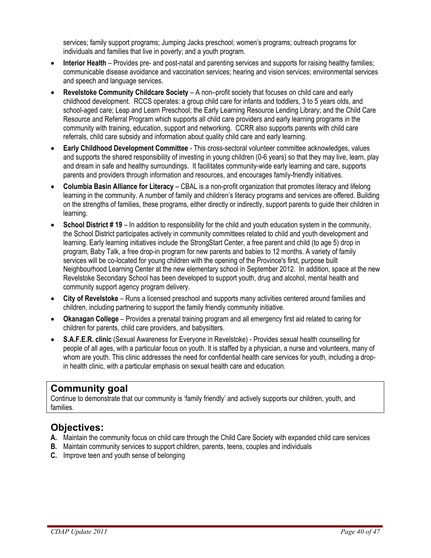services; family support programs; Jumping Jacks preschool; women's programs; outreach programs for individuals and families that live in poverty; and a youth program.

- **Interior Health** Provides pre- and post-natal and parenting services and supports for raising healthy families; communicable disease avoidance and vaccination services; hearing and vision services; environmental services and speech and language services.
- **Revelstoke Community Childcare Society** A non–profit society that focuses on child care and early childhood development. RCCS operates: a group child care for infants and toddlers, 3 to 5 years olds, and school-aged care; Leap and Learn Preschool; the Early Learning Resource Lending Library; and the Child Care Resource and Referral Program which supports all child care providers and early learning programs in the community with training, education, support and networking. CCRR also supports parents with child care referrals, child care subsidy and information about quality child care and early learning.
- **Early Childhood Development Committee** This cross-sectoral volunteer committee acknowledges, values and supports the shared responsibility of investing in young children (0-6 years) so that they may live, learn, play and dream in safe and healthy surroundings. It facilitates community-wide early learning and care, supports parents and providers through information and resources, and encourages family-friendly initiatives.
- **Columbia Basin Alliance for Literacy** CBAL is a non-profit organization that promotes literacy and lifelong learning in the community. A number of family and children's literacy programs and services are offered. Building on the strengths of families, these programs, either directly or indirectly, support parents to guide their children in learning.
- **School District # 19** In addition to responsibility for the child and youth education system in the community, the School District participates actively in community committees related to child and youth development and learning. Early learning initiatives include the StrongStart Center, a free parent and child (to age 5) drop in program, Baby Talk, a free drop-in program for new parents and babies to 12 months. A variety of family services will be co-located for young children with the opening of the Province's first, purpose built Neighbourhood Learning Center at the new elementary school in September 2012. In addition, space at the new Revelstoke Secondary School has been developed to support youth, drug and alcohol, mental health and community support agency program delivery.
- **City of Revelstoke** Runs a licensed preschool and supports many activities centered around families and children, including partnering to support the family friendly community initiative.
- **Okanagan College** Provides a prenatal training program and all emergency first aid related to caring for children for parents, child care providers, and babysitters.
- **S.A.F.E.R. clinic** (Sexual Awareness for Everyone in Revelstoke) Provides sexual health counselling for people of all ages, with a particular focus on youth. It is staffed by a physician, a nurse and volunteers, many of whom are youth. This clinic addresses the need for confidential health care services for youth, including a dropin health clinic, with a particular emphasis on sexual health care and education.

## **Community goal**

Continue to demonstrate that our community is 'family friendly' and actively supports our children, youth, and families.

## **Objectives:**

- **A.** Maintain the community focus on child care through the Child Care Society with expanded child care services
- **B.** Maintain community services to support children, parents, teens, couples and individuals
- **C.** Improve teen and youth sense of belonging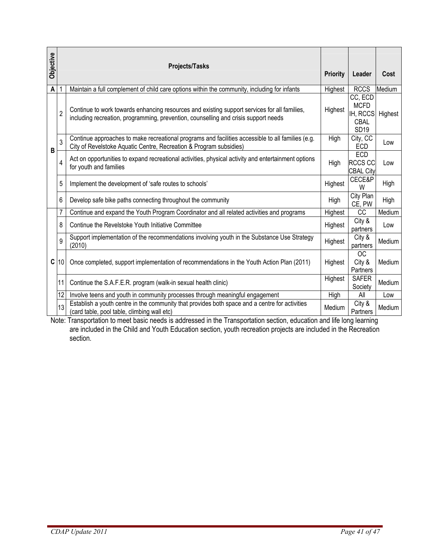| <b>Objective</b>                                                                                                                                                                                                                                     | Projects/Tasks |                                                                                                                                                                                     | <b>Priority</b> | Leader                                                    | Cost    |
|------------------------------------------------------------------------------------------------------------------------------------------------------------------------------------------------------------------------------------------------------|----------------|-------------------------------------------------------------------------------------------------------------------------------------------------------------------------------------|-----------------|-----------------------------------------------------------|---------|
| A                                                                                                                                                                                                                                                    |                | Maintain a full complement of child care options within the community, including for infants                                                                                        | Highest         | <b>RCCS</b>                                               | Medium  |
|                                                                                                                                                                                                                                                      | $\overline{2}$ | Continue to work towards enhancing resources and existing support services for all families,<br>including recreation, programming, prevention, counselling and crisis support needs | Highest         | CC, ECD<br><b>MCFD</b><br>IH, RCCS<br>CBAL<br><b>SD19</b> | Highest |
| B                                                                                                                                                                                                                                                    | 3              | Continue approaches to make recreational programs and facilities accessible to all families (e.g.<br>City of Revelstoke Aquatic Centre, Recreation & Program subsidies)             | High            | City, CC<br>ECD                                           | Low     |
|                                                                                                                                                                                                                                                      | 4              | Act on opportunities to expand recreational activities, physical activity and entertainment options<br>for youth and families                                                       | High            | ECD<br><b>RCCS CC</b><br><b>CBAL City</b>                 | Low     |
|                                                                                                                                                                                                                                                      | 5              | Implement the development of 'safe routes to schools'                                                                                                                               | Highest         | CECE&P<br>W                                               | High    |
|                                                                                                                                                                                                                                                      | 6              | Develop safe bike paths connecting throughout the community                                                                                                                         | High            | City Plan<br>CE, PW                                       | High    |
|                                                                                                                                                                                                                                                      | 7              | Continue and expand the Youth Program Coordinator and all related activities and programs                                                                                           | Highest         | <b>CC</b>                                                 | Medium  |
|                                                                                                                                                                                                                                                      | 8              | Continue the Revelstoke Youth Initiative Committee                                                                                                                                  | Highest         | City &<br>partners                                        | Low     |
|                                                                                                                                                                                                                                                      | 9              | Support implementation of the recommendations involving youth in the Substance Use Strategy<br>(2010)                                                                               | Highest         | City &<br>partners                                        | Medium  |
| C                                                                                                                                                                                                                                                    | 10             | Once completed, support implementation of recommendations in the Youth Action Plan (2011)                                                                                           | Highest         | <b>OC</b><br>City &<br>Partners                           | Medium  |
|                                                                                                                                                                                                                                                      | 11             | Continue the S.A.F.E.R. program (walk-in sexual health clinic)                                                                                                                      | Highest         | <b>SAFER</b><br>Society                                   | Medium  |
|                                                                                                                                                                                                                                                      | 12             | Involve teens and youth in community processes through meaningful engagement                                                                                                        | High            | All                                                       | Low     |
|                                                                                                                                                                                                                                                      | 13             | Establish a youth centre in the community that provides both space and a centre for activities<br>(card table, pool table, climbing wall etc)                                       | Medium          | City &<br>Partners                                        | Medium  |
| Note: Transportation to meet basic needs is addressed in the Transportation section, education and life long learning<br>are included in the Child and Youth Education section, youth recreation projects are included in the Recreation<br>section. |                |                                                                                                                                                                                     |                 |                                                           |         |
|                                                                                                                                                                                                                                                      |                | CDAP Update 2011                                                                                                                                                                    |                 | Page $41$ of $47$                                         |         |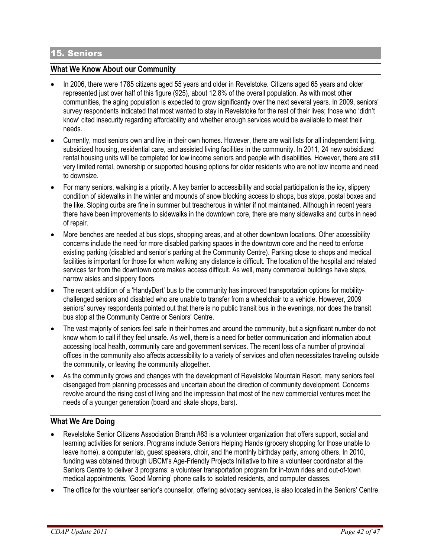#### 15. Seniors

#### **What We Know About our Community**

- In 2006, there were 1785 citizens aged 55 years and older in Revelstoke. Citizens aged 65 years and older represented just over half of this figure (925), about 12.8% of the overall population. As with most other communities, the aging population is expected to grow significantly over the next several years. In 2009, seniors' survey respondents indicated that most wanted to stay in Revelstoke for the rest of their lives; those who 'didn't know' cited insecurity regarding affordability and whether enough services would be available to meet their needs.
- Currently, most seniors own and live in their own homes. However, there are wait lists for all independent living, subsidized housing, residential care, and assisted living facilities in the community. In 2011, 24 new subsidized rental housing units will be completed for low income seniors and people with disabilities. However, there are still very limited rental, ownership or supported housing options for older residents who are not low income and need to downsize.
- For many seniors, walking is a priority. A key barrier to accessibility and social participation is the icy, slippery condition of sidewalks in the winter and mounds of snow blocking access to shops, bus stops, postal boxes and the like. Sloping curbs are fine in summer but treacherous in winter if not maintained. Although in recent years there have been improvements to sidewalks in the downtown core, there are many sidewalks and curbs in need of repair.
- More benches are needed at bus stops, shopping areas, and at other downtown locations. Other accessibility concerns include the need for more disabled parking spaces in the downtown core and the need to enforce existing parking (disabled and senior's parking at the Community Centre). Parking close to shops and medical facilities is important for those for whom walking any distance is difficult. The location of the hospital and related services far from the downtown core makes access difficult. As well, many commercial buildings have steps, narrow aisles and slippery floors.
- The recent addition of a 'HandyDart' bus to the community has improved transportation options for mobilitychallenged seniors and disabled who are unable to transfer from a wheelchair to a vehicle. However, 2009 seniors' survey respondents pointed out that there is no public transit bus in the evenings, nor does the transit bus stop at the Community Centre or Seniors' Centre.
- The vast majority of seniors feel safe in their homes and around the community, but a significant number do not know whom to call if they feel unsafe. As well, there is a need for better communication and information about accessing local health, community care and government services. The recent loss of a number of provincial offices in the community also affects accessibility to a variety of services and often necessitates traveling outside the community, or leaving the community altogether.
- As the community grows and changes with the development of Revelstoke Mountain Resort, many seniors feel disengaged from planning processes and uncertain about the direction of community development. Concerns revolve around the rising cost of living and the impression that most of the new commercial ventures meet the needs of a younger generation (board and skate shops, bars).

#### **What We Are Doing**

- Revelstoke Senior Citizens Association Branch #83 is a volunteer organization that offers support, social and learning activities for seniors. Programs include Seniors Helping Hands (grocery shopping for those unable to leave home), a computer lab, guest speakers, choir, and the monthly birthday party, among others. In 2010, funding was obtained through UBCM's Age-Friendly Projects Initiative to hire a volunteer coordinator at the Seniors Centre to deliver 3 programs: a volunteer transportation program for in-town rides and out-of-town medical appointments, 'Good Morning' phone calls to isolated residents, and computer classes.
- The office for the volunteer senior's counsellor, offering advocacy services, is also located in the Seniors' Centre.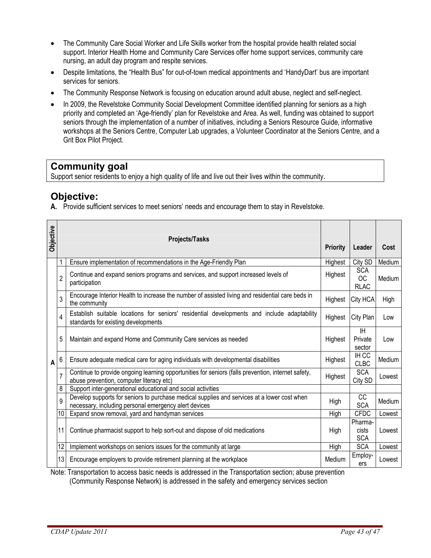- The Community Care Social Worker and Life Skills worker from the hospital provide health related social support. Interior Health Home and Community Care Services offer home support services, community care nursing, an adult day program and respite services.
- Despite limitations, the "Health Bus" for out-of-town medical appointments and 'HandyDart' bus are important services for seniors.
- The Community Response Network is focusing on education around adult abuse, neglect and self-neglect.
- In 2009, the Revelstoke Community Social Development Committee identified planning for seniors as a high priority and completed an 'Age-friendly' plan for Revelstoke and Area. As well, funding was obtained to support seniors through the implementation of a number of initiatives, including a Seniors Resource Guide, informative workshops at the Seniors Centre, Computer Lab upgrades, a Volunteer Coordinator at the Seniors Centre, and a Grit Box Pilot Project.

## **Community goal**

Support senior residents to enjoy a high quality of life and live out their lives within the community.

## **Objective:**

**A.** Provide sufficient services to meet seniors' needs and encourage them to stay in Revelstoke.

| Objective | <b>Projects/Tasks</b> |                                                                                                                                                      | <b>Priority</b> | Leader                                 | Cost   |
|-----------|-----------------------|------------------------------------------------------------------------------------------------------------------------------------------------------|-----------------|----------------------------------------|--------|
|           |                       | Ensure implementation of recommendations in the Age-Friendly Plan                                                                                    | Highest         | City SD                                | Medium |
|           | $\overline{2}$        | Continue and expand seniors programs and services, and support increased levels of<br>participation                                                  | Highest         | <b>SCA</b><br><b>OC</b><br><b>RLAC</b> | Medium |
|           | 3                     | Encourage Interior Health to increase the number of assisted living and residential care beds in<br>the community                                    | Highest         | City HCA                               | High   |
|           | 4                     | Establish suitable locations for seniors' residential developments and include adaptability<br>standards for existing developments                   | Highest         | City Plan                              | Low    |
|           | 5                     | Maintain and expand Home and Community Care services as needed                                                                                       | Highest         | IH<br>Private<br>sector                | Low    |
| A         | 6                     | Ensure adequate medical care for aging individuals with developmental disabilities                                                                   | Highest         | IH CC<br><b>CLBC</b>                   | Medium |
|           | $\overline{7}$        | Continue to provide ongoing learning opportunities for seniors (falls prevention, internet safety,<br>abuse prevention, computer literacy etc)       | Highest         | <b>SCA</b><br>City SD                  | Lowest |
|           | 8                     | Support inter-generational educational and social activities                                                                                         |                 |                                        |        |
|           | 9                     | Develop supports for seniors to purchase medical supplies and services at a lower cost when<br>necessary, including personal emergency alert devices | High            | CC<br><b>SCA</b>                       | Medium |
|           | 10                    | Expand snow removal, yard and handyman services                                                                                                      | High            | <b>CFDC</b>                            | Lowest |
|           | 11                    | Continue pharmacist support to help sort-out and dispose of old medications                                                                          | High            | Pharma-<br>cists<br><b>SCA</b>         | Lowest |
|           | 12                    | Implement workshops on seniors issues for the community at large                                                                                     | High            | <b>SCA</b>                             | Lowest |
|           | 13                    | Encourage employers to provide retirement planning at the workplace                                                                                  | Medium          | Employ-<br>ers                         | Lowest |

Note: Transportation to access basic needs is addressed in the Transportation section; abuse prevention (Community Response Network) is addressed in the safety and emergency services section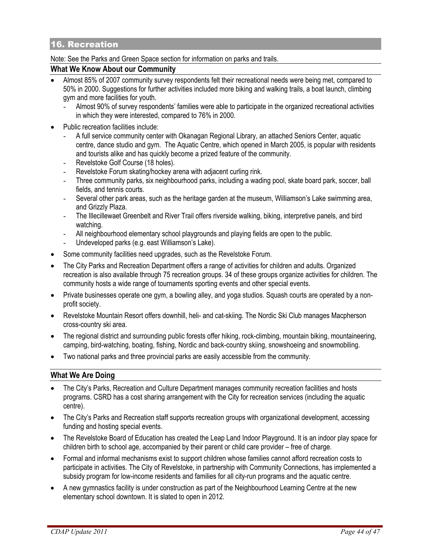#### 16. Recreation

#### Note: See the Parks and Green Space section for information on parks and trails.

#### **What We Know About our Community**

- Almost 85% of 2007 community survey respondents felt their recreational needs were being met, compared to 50% in 2000. Suggestions for further activities included more biking and walking trails, a boat launch, climbing gym and more facilities for youth.
	- Almost 90% of survey respondents' families were able to participate in the organized recreational activities in which they were interested, compared to 76% in 2000.
- Public recreation facilities include:
	- A full service community center with Okanagan Regional Library, an attached Seniors Center, aquatic centre, dance studio and gym. The Aquatic Centre, which opened in March 2005, is popular with residents and tourists alike and has quickly become a prized feature of the community.
	- Revelstoke Golf Course (18 holes).
	- Revelstoke Forum skating/hockey arena with adjacent curling rink.
	- Three community parks, six neighbourhood parks, including a wading pool, skate board park, soccer, ball fields, and tennis courts.
	- Several other park areas, such as the heritage garden at the museum, Williamson's Lake swimming area, and Grizzly Plaza.
	- The Illecillewaet Greenbelt and River Trail offers riverside walking, biking, interpretive panels, and bird watching.
	- All neighbourhood elementary school playgrounds and playing fields are open to the public.
	- Undeveloped parks (e.g. east Williamson's Lake).
- Some community facilities need upgrades, such as the Revelstoke Forum.
- The City Parks and Recreation Department offers a range of activities for children and adults. Organized recreation is also available through 75 recreation groups. 34 of these groups organize activities for children. The community hosts a wide range of tournaments sporting events and other special events.
- Private businesses operate one gym, a bowling alley, and yoga studios. Squash courts are operated by a nonprofit society.
- Revelstoke Mountain Resort offers downhill, heli- and cat-skiing. The Nordic Ski Club manages Macpherson cross-country ski area.
- The regional district and surrounding public forests offer hiking, rock-climbing, mountain biking, mountaineering, camping, bird-watching, boating, fishing, Nordic and back-country skiing, snowshoeing and snowmobiling.
- Two national parks and three provincial parks are easily accessible from the community.

#### **What We Are Doing**

- The City's Parks, Recreation and Culture Department manages community recreation facilities and hosts programs. CSRD has a cost sharing arrangement with the City for recreation services (including the aquatic centre).
- The City's Parks and Recreation staff supports recreation groups with organizational development, accessing funding and hosting special events.
- The Revelstoke Board of Education has created the Leap Land Indoor Playground. It is an indoor play space for children birth to school age, accompanied by their parent or child care provider – free of charge.
- Formal and informal mechanisms exist to support children whose families cannot afford recreation costs to participate in activities. The City of Revelstoke, in partnership with Community Connections, has implemented a subsidy program for low-income residents and families for all city-run programs and the aquatic centre.
- A new gymnastics facility is under construction as part of the Neighbourhood Learning Centre at the new elementary school downtown. It is slated to open in 2012.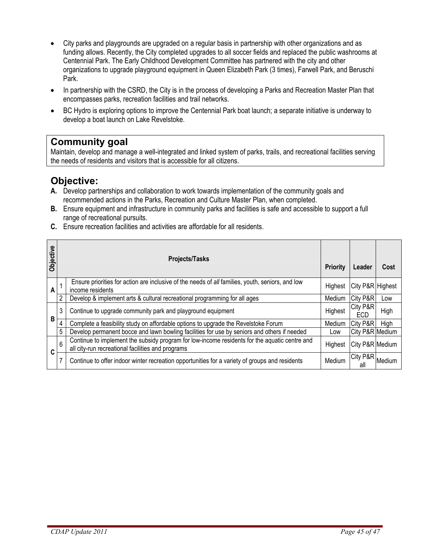- City parks and playgrounds are upgraded on a regular basis in partnership with other organizations and as funding allows. Recently, the City completed upgrades to all soccer fields and replaced the public washrooms at Centennial Park. The Early Childhood Development Committee has partnered with the city and other organizations to upgrade playground equipment in Queen Elizabeth Park (3 times), Farwell Park, and Beruschi Park.
- In partnership with the CSRD, the City is in the process of developing a Parks and Recreation Master Plan that encompasses parks, recreation facilities and trail networks.
- BC Hydro is exploring options to improve the Centennial Park boat launch; a separate initiative is underway to develop a boat launch on Lake Revelstoke.

## **Community goal**

Maintain, develop and manage a well-integrated and linked system of parks, trails, and recreational facilities serving the needs of residents and visitors that is accessible for all citizens.

## **Objective:**

- **A.** Develop partnerships and collaboration to work towards implementation of the community goals and recommended actions in the Parks, Recreation and Culture Master Plan, when completed.
- **B.** Ensure equipment and infrastructure in community parks and facilities is safe and accessible to support a full range of recreational pursuits.
- **C.** Ensure recreation facilities and activities are affordable for all residents.

| Objective |   | <b>Projects/Tasks</b>                                                                                                                              |         | Leader           | Cost   |
|-----------|---|----------------------------------------------------------------------------------------------------------------------------------------------------|---------|------------------|--------|
| A         |   | Ensure priorities for action are inclusive of the needs of all families, youth, seniors, and low<br>income residents                               | Highest | City P&R Highest |        |
|           | 2 | Develop & implement arts & cultural recreational programming for all ages                                                                          | Medium  | City P&R         | Low    |
|           | 3 | Continue to upgrade community park and playground equipment                                                                                        | Highest | City P&R<br>ECD  | High   |
| В         | 4 | Complete a feasibility study on affordable options to upgrade the Revelstoke Forum                                                                 | Medium  | City P&R         | High   |
|           | 5 | Develop permanent bocce and lawn bowling facilities for use by seniors and others if needed                                                        | Low     | City P&R Medium  |        |
| C         | 6 | Continue to implement the subsidy program for low-income residents for the aquatic centre and<br>all city-run recreational facilities and programs | Highest | City P&R Medium  |        |
|           |   | Continue to offer indoor winter recreation opportunities for a variety of groups and residents                                                     | Medium  | City P&R<br>all  | Medium |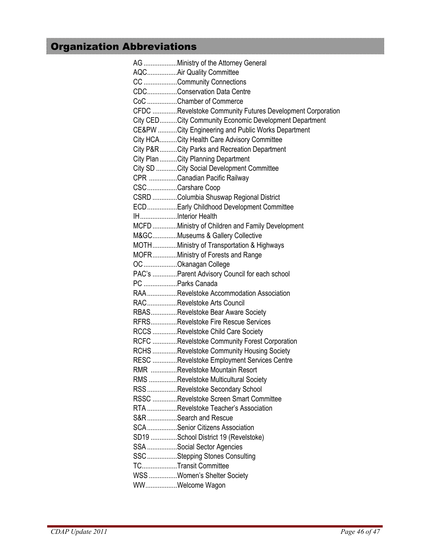# Organization Abbreviations

| AG Ministry of the Attorney General                       |
|-----------------------------------------------------------|
| AQCAir Quality Committee                                  |
| CC Community Connections                                  |
| CDCConservation Data Centre                               |
| CoC Chamber of Commerce                                   |
| CFDC Revelstoke Community Futures Development Corporation |
| City CEDCity Community Economic Development Department    |
| CE&PW City Engineering and Public Works Department        |
| City HCACity Health Care Advisory Committee               |
| City P&RCity Parks and Recreation Department              |
| City Plan City Planning Department                        |
| City SD City Social Development Committee                 |
| CPR Canadian Pacific Railway                              |
| CSCCarshare Coop                                          |
| CSRD Columbia Shuswap Regional District                   |
| ECDEarly Childhood Development Committee                  |
| IHInterior Health                                         |
| MCFDMinistry of Children and Family Development           |
| M&GCMuseums & Gallery Collective                          |
| MOTHMinistry of Transportation & Highways                 |
| MOFRMinistry of Forests and Range                         |
| OC Okanagan College                                       |
| PAC's Parent Advisory Council for each school             |
| PC Parks Canada                                           |
| RAARevelstoke Accommodation Association                   |
| RACRevelstoke Arts Council                                |
| RBASRevelstoke Bear Aware Society                         |
| RFRSRevelstoke Fire Rescue Services                       |
| RCCS Revelstoke Child Care Society                        |
| RCFC Revelstoke Community Forest Corporation              |
| RCHS Revelstoke Community Housing Society                 |
| RESC Revelstoke Employment Services Centre                |
| RMR Revelstoke Mountain Resort                            |
| RMS Revelstoke Multicultural Society                      |
| RSSRevelstoke Secondary School                            |
| RSSC Revelstoke Screen Smart Committee                    |
| RTA Revelstoke Teacher's Association                      |
| S&R Search and Rescue                                     |
| SCASenior Citizens Association                            |
|                                                           |
| SD19 School District 19 (Revelstoke)                      |
| SSA Social Sector Agencies                                |
| SSC Stepping Stones Consulting                            |
| TCTransit Committee                                       |
| WSS Women's Shelter Society                               |
| WWWelcome Wagon                                           |